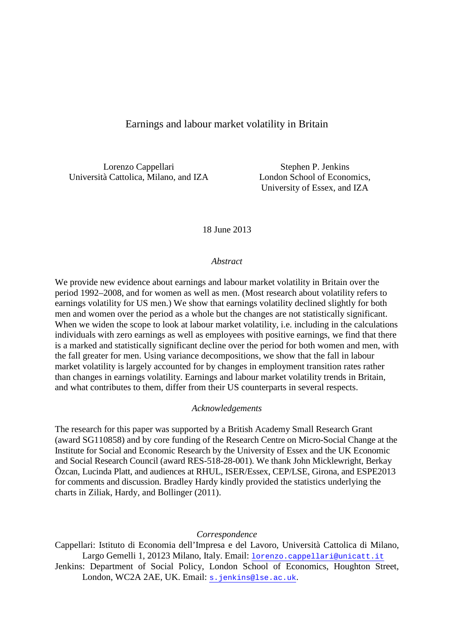# Earnings and labour market volatility in Britain

Lorenzo Cappellari Stephen P. Jenkins Università Cattolica, Milano, and IZA London School of Economics,

University of Essex, and IZA

18 June 2013

#### *Abstract*

We provide new evidence about earnings and labour market volatility in Britain over the period 1992–2008, and for women as well as men. (Most research about volatility refers to earnings volatility for US men.) We show that earnings volatility declined slightly for both men and women over the period as a whole but the changes are not statistically significant. When we widen the scope to look at labour market volatility, i.e. including in the calculations individuals with zero earnings as well as employees with positive earnings, we find that there is a marked and statistically significant decline over the period for both women and men, with the fall greater for men. Using variance decompositions, we show that the fall in labour market volatility is largely accounted for by changes in employment transition rates rather than changes in earnings volatility. Earnings and labour market volatility trends in Britain, and what contributes to them, differ from their US counterparts in several respects.

#### *Acknowledgements*

The research for this paper was supported by a British Academy Small Research Grant (award SG110858) and by core funding of the Research Centre on Micro-Social Change at the Institute for Social and Economic Research by the University of Essex and the UK Economic and Social Research Council (award RES-518-28-001). We thank John Micklewright, Berkay Özcan, Lucinda Platt, and audiences at RHUL, ISER/Essex, CEP/LSE, Girona, and ESPE2013 for comments and discussion. Bradley Hardy kindly provided the statistics underlying the charts in Ziliak, Hardy, and Bollinger (2011).

*Correspondence*

Cappellari: Istituto di Economia dell'Impresa e del Lavoro, Università Cattolica di Milano, Largo Gemelli 1, 20123 Milano, Italy. Email: [lorenzo.cappellari@unicatt.it](mailto:lorenzo.cappellari@unicatt.it) Jenkins: Department of Social Policy, London School of Economics, Houghton Street,

London, WC2A 2AE, UK. Email: s. jenkins@lse.ac.uk.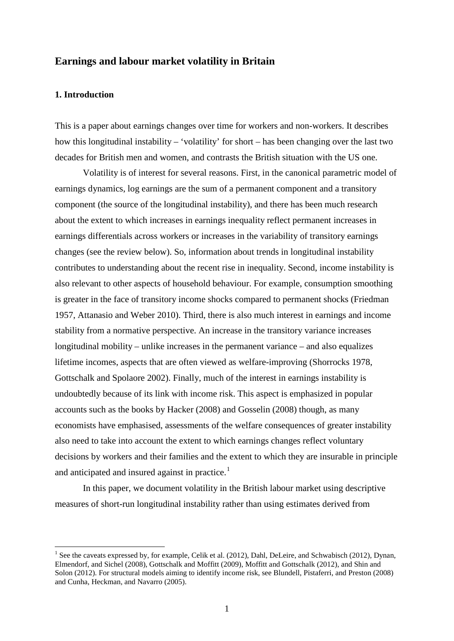### **Earnings and labour market volatility in Britain**

### **1. Introduction**

This is a paper about earnings changes over time for workers and non-workers. It describes how this longitudinal instability – 'volatility' for short – has been changing over the last two decades for British men and women, and contrasts the British situation with the US one.

Volatility is of interest for several reasons. First, in the canonical parametric model of earnings dynamics, log earnings are the sum of a permanent component and a transitory component (the source of the longitudinal instability), and there has been much research about the extent to which increases in earnings inequality reflect permanent increases in earnings differentials across workers or increases in the variability of transitory earnings changes (see the review below). So, information about trends in longitudinal instability contributes to understanding about the recent rise in inequality. Second, income instability is also relevant to other aspects of household behaviour. For example, consumption smoothing is greater in the face of transitory income shocks compared to permanent shocks (Friedman 1957, Attanasio and Weber 2010). Third, there is also much interest in earnings and income stability from a normative perspective. An increase in the transitory variance increases longitudinal mobility – unlike increases in the permanent variance – and also equalizes lifetime incomes, aspects that are often viewed as welfare-improving (Shorrocks 1978, Gottschalk and Spolaore 2002). Finally, much of the interest in earnings instability is undoubtedly because of its link with income risk. This aspect is emphasized in popular accounts such as the books by Hacker (2008) and Gosselin (2008) though, as many economists have emphasised, assessments of the welfare consequences of greater instability also need to take into account the extent to which earnings changes reflect voluntary decisions by workers and their families and the extent to which they are insurable in principle and anticipated and insured against in practice.<sup>[1](#page-1-0)</sup>

In this paper, we document volatility in the British labour market using descriptive measures of short-run longitudinal instability rather than using estimates derived from

<span id="page-1-0"></span><sup>&</sup>lt;sup>1</sup> See the caveats expressed by, for example, Celik et al. (2012), Dahl, DeLeire, and Schwabisch (2012), Dynan, Elmendorf, and Sichel (2008), Gottschalk and Moffitt (2009), Moffitt and Gottschalk (2012), and Shin and Solon (2012). For structural models aiming to identify income risk, see Blundell, Pistaferri, and Preston (2008) and Cunha, Heckman, and Navarro (2005).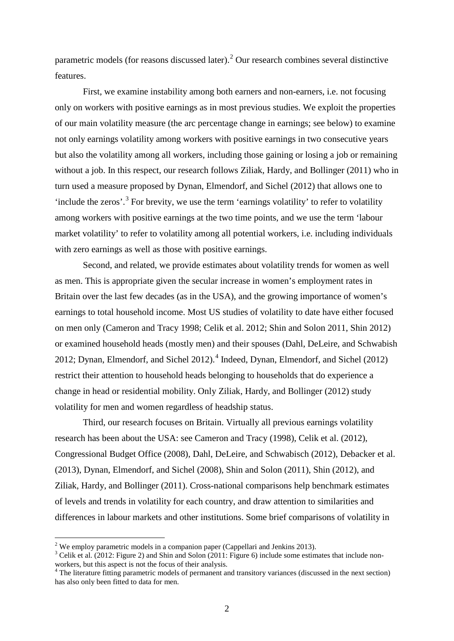parametric models (for reasons discussed later).<sup>[2](#page-2-0)</sup> Our research combines several distinctive features.

First, we examine instability among both earners and non-earners, i.e. not focusing only on workers with positive earnings as in most previous studies. We exploit the properties of our main volatility measure (the arc percentage change in earnings; see below) to examine not only earnings volatility among workers with positive earnings in two consecutive years but also the volatility among all workers, including those gaining or losing a job or remaining without a job. In this respect, our research follows Ziliak, Hardy, and Bollinger (2011) who in turn used a measure proposed by Dynan, Elmendorf, and Sichel (2012) that allows one to 'include the zeros'.<sup>[3](#page-2-1)</sup> For brevity, we use the term 'earnings volatility' to refer to volatility among workers with positive earnings at the two time points, and we use the term 'labour market volatility' to refer to volatility among all potential workers, i.e. including individuals with zero earnings as well as those with positive earnings.

Second, and related, we provide estimates about volatility trends for women as well as men. This is appropriate given the secular increase in women's employment rates in Britain over the last few decades (as in the USA), and the growing importance of women's earnings to total household income. Most US studies of volatility to date have either focused on men only (Cameron and Tracy 1998; Celik et al. 2012; Shin and Solon 2011, Shin 2012) or examined household heads (mostly men) and their spouses (Dahl, DeLeire, and Schwabish 2012; Dynan, Elmendorf, and Sichel 2012).<sup>[4](#page-2-2)</sup> Indeed, Dynan, Elmendorf, and Sichel (2012) restrict their attention to household heads belonging to households that do experience a change in head or residential mobility. Only Ziliak, Hardy, and Bollinger (2012) study volatility for men and women regardless of headship status.

Third, our research focuses on Britain. Virtually all previous earnings volatility research has been about the USA: see Cameron and Tracy (1998), Celik et al. (2012), Congressional Budget Office (2008), Dahl, DeLeire, and Schwabisch (2012), Debacker et al. (2013), Dynan, Elmendorf, and Sichel (2008), Shin and Solon (2011), Shin (2012), and Ziliak, Hardy, and Bollinger (2011). Cross-national comparisons help benchmark estimates of levels and trends in volatility for each country, and draw attention to similarities and differences in labour markets and other institutions. Some brief comparisons of volatility in

<span id="page-2-1"></span>

<span id="page-2-0"></span><sup>&</sup>lt;sup>2</sup> We employ parametric models in a companion paper (Cappellari and Jenkins 2013).<br><sup>3</sup> Celik et al. (2012: Figure 2) and Shin and Solon (2011: Figure 6) include some estimates that include nonworkers, but this aspect is not the focus of their analysis.

<span id="page-2-2"></span><sup>&</sup>lt;sup>4</sup> The literature fitting parametric models of permanent and transitory variances (discussed in the next section) has also only been fitted to data for men.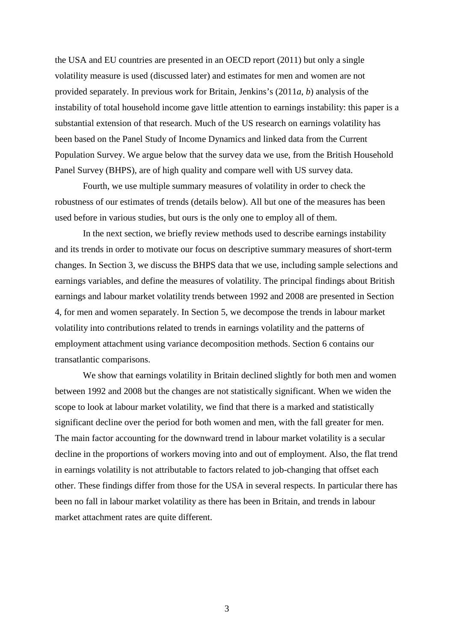the USA and EU countries are presented in an OECD report (2011) but only a single volatility measure is used (discussed later) and estimates for men and women are not provided separately. In previous work for Britain, Jenkins's (2011*a*, *b*) analysis of the instability of total household income gave little attention to earnings instability: this paper is a substantial extension of that research. Much of the US research on earnings volatility has been based on the Panel Study of Income Dynamics and linked data from the Current Population Survey. We argue below that the survey data we use, from the British Household Panel Survey (BHPS), are of high quality and compare well with US survey data.

Fourth, we use multiple summary measures of volatility in order to check the robustness of our estimates of trends (details below). All but one of the measures has been used before in various studies, but ours is the only one to employ all of them.

In the next section, we briefly review methods used to describe earnings instability and its trends in order to motivate our focus on descriptive summary measures of short-term changes. In Section 3, we discuss the BHPS data that we use, including sample selections and earnings variables, and define the measures of volatility. The principal findings about British earnings and labour market volatility trends between 1992 and 2008 are presented in Section 4, for men and women separately. In Section 5, we decompose the trends in labour market volatility into contributions related to trends in earnings volatility and the patterns of employment attachment using variance decomposition methods. Section 6 contains our transatlantic comparisons.

We show that earnings volatility in Britain declined slightly for both men and women between 1992 and 2008 but the changes are not statistically significant. When we widen the scope to look at labour market volatility, we find that there is a marked and statistically significant decline over the period for both women and men, with the fall greater for men. The main factor accounting for the downward trend in labour market volatility is a secular decline in the proportions of workers moving into and out of employment. Also, the flat trend in earnings volatility is not attributable to factors related to job-changing that offset each other. These findings differ from those for the USA in several respects. In particular there has been no fall in labour market volatility as there has been in Britain, and trends in labour market attachment rates are quite different.

3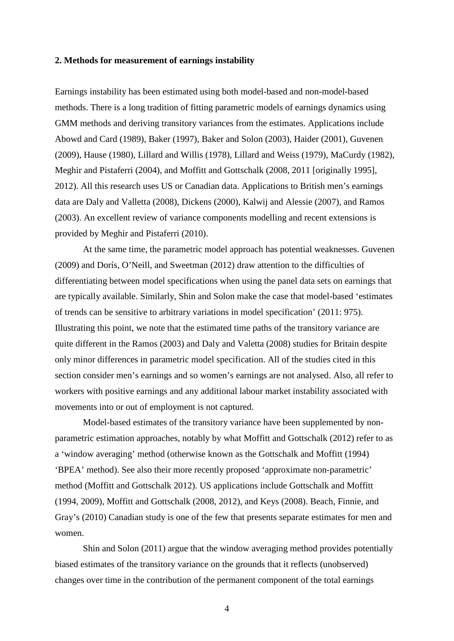#### **2. Methods for measurement of earnings instability**

Earnings instability has been estimated using both model-based and non-model-based methods. There is a long tradition of fitting parametric models of earnings dynamics using GMM methods and deriving transitory variances from the estimates. Applications include Abowd and Card (1989), Baker (1997), Baker and Solon (2003), Haider (2001), Guvenen (2009), Hause (1980), Lillard and Willis (1978), Lillard and Weiss (1979), MaCurdy (1982), Meghir and Pistaferri (2004), and Moffitt and Gottschalk (2008, 2011 [originally 1995], 2012). All this research uses US or Canadian data. Applications to British men's earnings data are Daly and Valletta (2008), Dickens (2000), Kalwij and Alessie (2007), and Ramos (2003). An excellent review of variance components modelling and recent extensions is provided by Meghir and Pistaferri (2010).

At the same time, the parametric model approach has potential weaknesses. Guvenen (2009) and Dorís, O'Neill, and Sweetman (2012) draw attention to the difficulties of differentiating between model specifications when using the panel data sets on earnings that are typically available. Similarly, Shin and Solon make the case that model-based 'estimates of trends can be sensitive to arbitrary variations in model specification' (2011: 975). Illustrating this point, we note that the estimated time paths of the transitory variance are quite different in the Ramos (2003) and Daly and Valetta (2008) studies for Britain despite only minor differences in parametric model specification. All of the studies cited in this section consider men's earnings and so women's earnings are not analysed. Also, all refer to workers with positive earnings and any additional labour market instability associated with movements into or out of employment is not captured.

Model-based estimates of the transitory variance have been supplemented by nonparametric estimation approaches, notably by what Moffitt and Gottschalk (2012) refer to as a 'window averaging' method (otherwise known as the Gottschalk and Moffitt (1994) 'BPEA' method). See also their more recently proposed 'approximate non-parametric' method (Moffitt and Gottschalk 2012). US applications include Gottschalk and Moffitt (1994, 2009), Moffitt and Gottschalk (2008, 2012), and Keys (2008). Beach, Finnie, and Gray's (2010) Canadian study is one of the few that presents separate estimates for men and women.

Shin and Solon (2011) argue that the window averaging method provides potentially biased estimates of the transitory variance on the grounds that it reflects (unobserved) changes over time in the contribution of the permanent component of the total earnings

4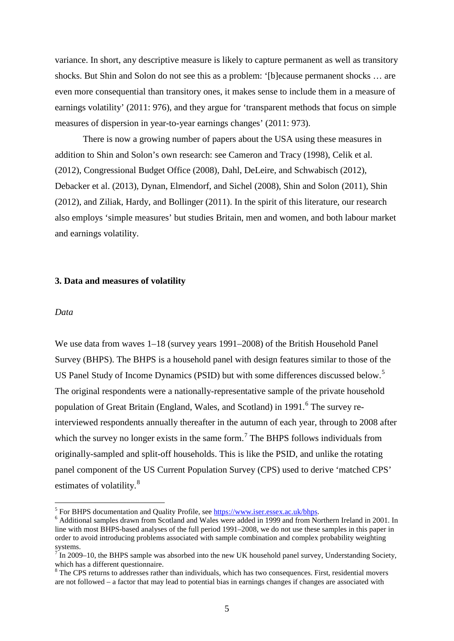variance. In short, any descriptive measure is likely to capture permanent as well as transitory shocks. But Shin and Solon do not see this as a problem: '[b]ecause permanent shocks … are even more consequential than transitory ones, it makes sense to include them in a measure of earnings volatility' (2011: 976), and they argue for 'transparent methods that focus on simple measures of dispersion in year-to-year earnings changes' (2011: 973).

There is now a growing number of papers about the USA using these measures in addition to Shin and Solon's own research: see Cameron and Tracy (1998), Celik et al. (2012), Congressional Budget Office (2008), Dahl, DeLeire, and Schwabisch (2012), Debacker et al. (2013), Dynan, Elmendorf, and Sichel (2008), Shin and Solon (2011), Shin (2012), and Ziliak, Hardy, and Bollinger (2011). In the spirit of this literature, our research also employs 'simple measures' but studies Britain, men and women, and both labour market and earnings volatility.

#### **3. Data and measures of volatility**

#### *Data*

We use data from waves 1–18 (survey years 1991–2008) of the British Household Panel Survey (BHPS). The BHPS is a household panel with design features similar to those of the US Panel Study of Income Dynamics (PSID) but with some differences discussed below.<sup>[5](#page-5-0)</sup> The original respondents were a nationally-representative sample of the private household population of Great Britain (England, Wales, and Scotland) in 1991.<sup>[6](#page-5-1)</sup> The survey reinterviewed respondents annually thereafter in the autumn of each year, through to 2008 after which the survey no longer exists in the same form.<sup>[7](#page-5-2)</sup> The BHPS follows individuals from originally-sampled and split-off households. This is like the PSID, and unlike the rotating panel component of the US Current Population Survey (CPS) used to derive 'matched CPS' estimates of volatility.<sup>[8](#page-5-3)</sup>

<span id="page-5-1"></span><span id="page-5-0"></span> $5$  For BHPS documentation and Quality Profile, see  $\frac{https://www.iser.essex.ac.uk/bhps}{https://www.iser.essex.ac.uk/bhps}$ . line with most BHPS-based analyses of the full period 1991–2008, we do not use these samples in this paper in order to avoid introducing problems associated with sample combination and complex probability weighting systems.

<span id="page-5-2"></span>In 2009–10, the BHPS sample was absorbed into the new UK household panel survey, Understanding Society, which has a different questionnaire.<br><sup>8</sup> The CPS returns to addresses rather than individuals, which has two consequences. First, residential movers

<span id="page-5-3"></span>are not followed – a factor that may lead to potential bias in earnings changes if changes are associated with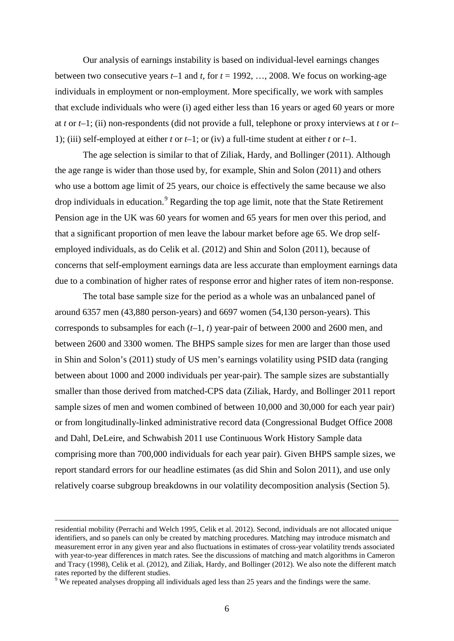Our analysis of earnings instability is based on individual-level earnings changes between two consecutive years *t–*1 and *t*, for *t* = 1992, …, 2008. We focus on working-age individuals in employment or non-employment. More specifically, we work with samples that exclude individuals who were (i) aged either less than 16 years or aged 60 years or more at *t* or *t*–1; (ii) non-respondents (did not provide a full, telephone or proxy interviews at *t* or *t*– 1); (iii) self-employed at either *t* or *t–*1; or (iv) a full-time student at either *t* or *t–*1.

The age selection is similar to that of Ziliak, Hardy, and Bollinger (2011). Although the age range is wider than those used by, for example, Shin and Solon (2011) and others who use a bottom age limit of 25 years, our choice is effectively the same because we also drop individuals in education.<sup>[9](#page-6-0)</sup> Regarding the top age limit, note that the State Retirement Pension age in the UK was 60 years for women and 65 years for men over this period, and that a significant proportion of men leave the labour market before age 65. We drop selfemployed individuals, as do Celik et al. (2012) and Shin and Solon (2011), because of concerns that self-employment earnings data are less accurate than employment earnings data due to a combination of higher rates of response error and higher rates of item non-response.

The total base sample size for the period as a whole was an unbalanced panel of around 6357 men (43,880 person-years) and 6697 women (54,130 person-years). This corresponds to subsamples for each (*t–*1, *t*) year-pair of between 2000 and 2600 men, and between 2600 and 3300 women. The BHPS sample sizes for men are larger than those used in Shin and Solon's (2011) study of US men's earnings volatility using PSID data (ranging between about 1000 and 2000 individuals per year-pair). The sample sizes are substantially smaller than those derived from matched-CPS data (Ziliak, Hardy, and Bollinger 2011 report sample sizes of men and women combined of between 10,000 and 30,000 for each year pair) or from longitudinally-linked administrative record data (Congressional Budget Office 2008 and Dahl, DeLeire, and Schwabish 2011 use Continuous Work History Sample data comprising more than 700,000 individuals for each year pair). Given BHPS sample sizes, we report standard errors for our headline estimates (as did Shin and Solon 2011), and use only relatively coarse subgroup breakdowns in our volatility decomposition analysis (Section 5).

residential mobility (Perrachi and Welch 1995, Celik et al. 2012). Second, individuals are not allocated unique identifiers, and so panels can only be created by matching procedures. Matching may introduce mismatch and measurement error in any given year and also fluctuations in estimates of cross-year volatility trends associated with year-to-year differences in match rates. See the discussions of matching and match algorithms in Cameron and Tracy (1998), Celik et al. (2012), and Ziliak, Hardy, and Bollinger (2012). We also note the different match rates reported by the different studies.

<span id="page-6-0"></span><sup>&</sup>lt;sup>9</sup> We repeated analyses dropping all individuals aged less than 25 years and the findings were the same.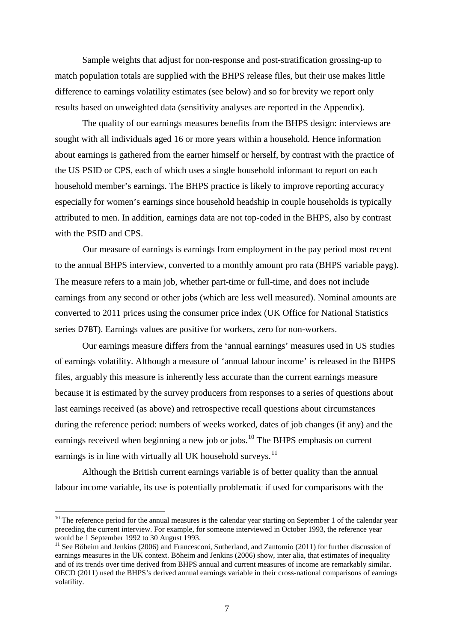Sample weights that adjust for non-response and post-stratification grossing-up to match population totals are supplied with the BHPS release files, but their use makes little difference to earnings volatility estimates (see below) and so for brevity we report only results based on unweighted data (sensitivity analyses are reported in the Appendix).

The quality of our earnings measures benefits from the BHPS design: interviews are sought with all individuals aged 16 or more years within a household. Hence information about earnings is gathered from the earner himself or herself, by contrast with the practice of the US PSID or CPS, each of which uses a single household informant to report on each household member's earnings. The BHPS practice is likely to improve reporting accuracy especially for women's earnings since household headship in couple households is typically attributed to men. In addition, earnings data are not top-coded in the BHPS, also by contrast with the PSID and CPS.

Our measure of earnings is earnings from employment in the pay period most recent to the annual BHPS interview, converted to a monthly amount pro rata (BHPS variable payg). The measure refers to a main job, whether part-time or full-time, and does not include earnings from any second or other jobs (which are less well measured). Nominal amounts are converted to 2011 prices using the consumer price index (UK Office for National Statistics series D7BT). Earnings values are positive for workers, zero for non-workers.

Our earnings measure differs from the 'annual earnings' measures used in US studies of earnings volatility. Although a measure of 'annual labour income' is released in the BHPS files, arguably this measure is inherently less accurate than the current earnings measure because it is estimated by the survey producers from responses to a series of questions about last earnings received (as above) and retrospective recall questions about circumstances during the reference period: numbers of weeks worked, dates of job changes (if any) and the earnings received when beginning a new job or jobs.<sup>[10](#page-7-0)</sup> The BHPS emphasis on current earnings is in line with virtually all UK household surveys.<sup>[11](#page-7-1)</sup>

Although the British current earnings variable is of better quality than the annual labour income variable, its use is potentially problematic if used for comparisons with the

<span id="page-7-0"></span> $10$  The reference period for the annual measures is the calendar year starting on September 1 of the calendar year preceding the current interview. For example, for someone interviewed in October 1993, the reference year would be 1 September 1992 to 30 August 1993.

<span id="page-7-1"></span><sup>&</sup>lt;sup>11</sup> See Böheim and Jenkins (2006) and Francesconi, Sutherland, and Zantomio (2011) for further discussion of earnings measures in the UK context. Böheim and Jenkins (2006) show, inter alia, that estimates of inequality and of its trends over time derived from BHPS annual and current measures of income are remarkably similar. OECD (2011) used the BHPS's derived annual earnings variable in their cross-national comparisons of earnings volatility.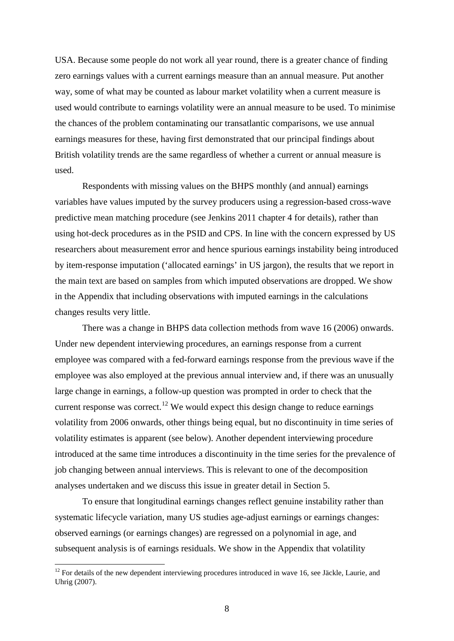USA. Because some people do not work all year round, there is a greater chance of finding zero earnings values with a current earnings measure than an annual measure. Put another way, some of what may be counted as labour market volatility when a current measure is used would contribute to earnings volatility were an annual measure to be used. To minimise the chances of the problem contaminating our transatlantic comparisons, we use annual earnings measures for these, having first demonstrated that our principal findings about British volatility trends are the same regardless of whether a current or annual measure is used.

Respondents with missing values on the BHPS monthly (and annual) earnings variables have values imputed by the survey producers using a regression-based cross-wave predictive mean matching procedure (see Jenkins 2011 chapter 4 for details), rather than using hot-deck procedures as in the PSID and CPS. In line with the concern expressed by US researchers about measurement error and hence spurious earnings instability being introduced by item-response imputation ('allocated earnings' in US jargon), the results that we report in the main text are based on samples from which imputed observations are dropped. We show in the Appendix that including observations with imputed earnings in the calculations changes results very little.

There was a change in BHPS data collection methods from wave 16 (2006) onwards. Under new dependent interviewing procedures, an earnings response from a current employee was compared with a fed-forward earnings response from the previous wave if the employee was also employed at the previous annual interview and, if there was an unusually large change in earnings, a follow-up question was prompted in order to check that the current response was correct.<sup>[12](#page-8-0)</sup> We would expect this design change to reduce earnings volatility from 2006 onwards, other things being equal, but no discontinuity in time series of volatility estimates is apparent (see below). Another dependent interviewing procedure introduced at the same time introduces a discontinuity in the time series for the prevalence of job changing between annual interviews. This is relevant to one of the decomposition analyses undertaken and we discuss this issue in greater detail in Section 5.

To ensure that longitudinal earnings changes reflect genuine instability rather than systematic lifecycle variation, many US studies age-adjust earnings or earnings changes: observed earnings (or earnings changes) are regressed on a polynomial in age, and subsequent analysis is of earnings residuals. We show in the Appendix that volatility

<span id="page-8-0"></span><sup>&</sup>lt;sup>12</sup> For details of the new dependent interviewing procedures introduced in wave 16, see Jäckle, Laurie, and Uhrig (2007).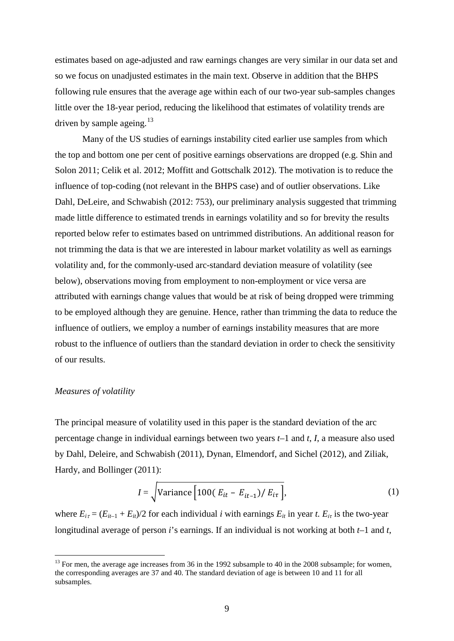estimates based on age-adjusted and raw earnings changes are very similar in our data set and so we focus on unadjusted estimates in the main text. Observe in addition that the BHPS following rule ensures that the average age within each of our two-year sub-samples changes little over the 18-year period, reducing the likelihood that estimates of volatility trends are driven by sample ageing. $13$ 

Many of the US studies of earnings instability cited earlier use samples from which the top and bottom one per cent of positive earnings observations are dropped (e.g. Shin and Solon 2011; Celik et al. 2012; Moffitt and Gottschalk 2012). The motivation is to reduce the influence of top-coding (not relevant in the BHPS case) and of outlier observations. Like Dahl, DeLeire, and Schwabish (2012: 753), our preliminary analysis suggested that trimming made little difference to estimated trends in earnings volatility and so for brevity the results reported below refer to estimates based on untrimmed distributions. An additional reason for not trimming the data is that we are interested in labour market volatility as well as earnings volatility and, for the commonly-used arc-standard deviation measure of volatility (see below), observations moving from employment to non-employment or vice versa are attributed with earnings change values that would be at risk of being dropped were trimming to be employed although they are genuine. Hence, rather than trimming the data to reduce the influence of outliers, we employ a number of earnings instability measures that are more robust to the influence of outliers than the standard deviation in order to check the sensitivity of our results.

### *Measures of volatility*

The principal measure of volatility used in this paper is the standard deviation of the arc percentage change in individual earnings between two years *t*–1 and *t*, *I*, a measure also used by Dahl, Deleire, and Schwabish (2011), Dynan, Elmendorf, and Sichel (2012), and Ziliak, Hardy, and Bollinger (2011):

$$
I = \sqrt{\text{Variance}\left[100(E_{it} - E_{it-1})/E_{i\tau}\right]},\tag{1}
$$

where  $E_{i\tau} = (E_{i\tau-1} + E_{i\tau})/2$  for each individual *i* with earnings  $E_{it}$  in year *t.*  $E_{i\tau}$  is the two-year longitudinal average of person *i*'s earnings. If an individual is not working at both *t–*1 and *t*,

<span id="page-9-0"></span><sup>&</sup>lt;sup>13</sup> For men, the average age increases from 36 in the 1992 subsample to 40 in the 2008 subsample; for women, the corresponding averages are 37 and 40. The standard deviation of age is between 10 and 11 for all subsamples.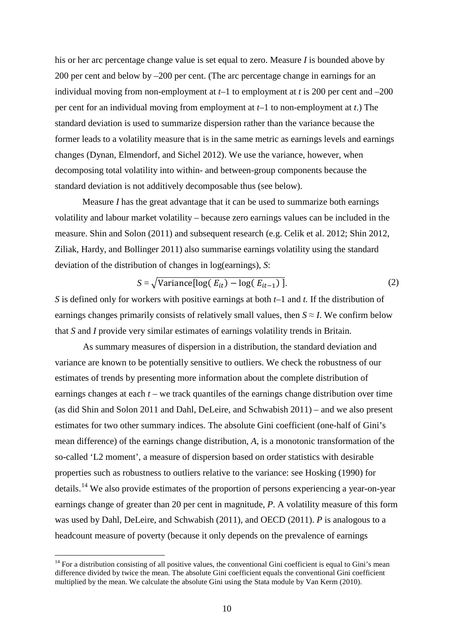his or her arc percentage change value is set equal to zero. Measure *I* is bounded above by 200 per cent and below by –200 per cent. (The arc percentage change in earnings for an individual moving from non-employment at *t–*1 to employment at *t* is 200 per cent and –200 per cent for an individual moving from employment at *t–*1 to non-employment at *t*.) The standard deviation is used to summarize dispersion rather than the variance because the former leads to a volatility measure that is in the same metric as earnings levels and earnings changes (Dynan, Elmendorf, and Sichel 2012). We use the variance, however, when decomposing total volatility into within- and between-group components because the standard deviation is not additively decomposable thus (see below).

Measure *I* has the great advantage that it can be used to summarize both earnings volatility and labour market volatility – because zero earnings values can be included in the measure. Shin and Solon (2011) and subsequent research (e.g. Celik et al. 2012; Shin 2012, Ziliak, Hardy, and Bollinger 2011) also summarise earnings volatility using the standard deviation of the distribution of changes in log(earnings), *S*:

$$
S = \sqrt{\text{Variance}[\log(E_{it}) - \log(E_{it-1})]}.
$$
 (2)

*S* is defined only for workers with positive earnings at both *t*–1 and *t.* If the distribution of earnings changes primarily consists of relatively small values, then  $S \approx I$ . We confirm below that *S* and *I* provide very similar estimates of earnings volatility trends in Britain.

As summary measures of dispersion in a distribution, the standard deviation and variance are known to be potentially sensitive to outliers. We check the robustness of our estimates of trends by presenting more information about the complete distribution of earnings changes at each *t* – we track quantiles of the earnings change distribution over time (as did Shin and Solon 2011 and Dahl, DeLeire, and Schwabish 2011) – and we also present estimates for two other summary indices. The absolute Gini coefficient (one-half of Gini's mean difference) of the earnings change distribution, *A*, is a monotonic transformation of the so-called 'L2 moment', a measure of dispersion based on order statistics with desirable properties such as robustness to outliers relative to the variance: see Hosking (1990) for details.<sup>[14](#page-10-0)</sup> We also provide estimates of the proportion of persons experiencing a year-on-year earnings change of greater than 20 per cent in magnitude, *P*. A volatility measure of this form was used by Dahl, DeLeire, and Schwabish (2011), and OECD (2011). *P* is analogous to a headcount measure of poverty (because it only depends on the prevalence of earnings

<span id="page-10-0"></span> $14$  For a distribution consisting of all positive values, the conventional Gini coefficient is equal to Gini's mean difference divided by twice the mean. The absolute Gini coefficient equals the conventional Gini coefficient multiplied by the mean. We calculate the absolute Gini using the Stata module by Van Kerm (2010).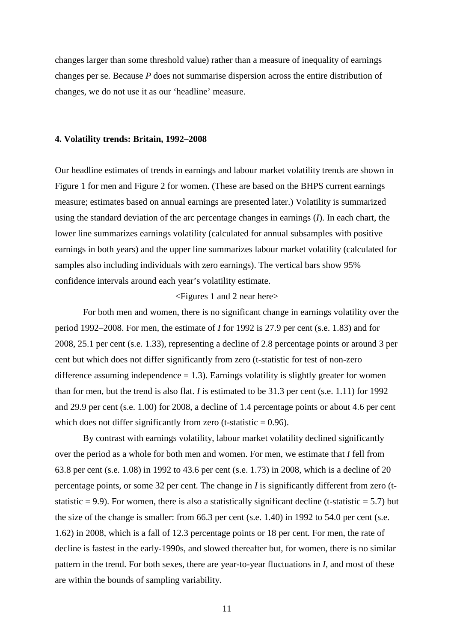changes larger than some threshold value) rather than a measure of inequality of earnings changes per se. Because *P* does not summarise dispersion across the entire distribution of changes, we do not use it as our 'headline' measure.

#### **4. Volatility trends: Britain, 1992–2008**

Our headline estimates of trends in earnings and labour market volatility trends are shown in Figure 1 for men and Figure 2 for women. (These are based on the BHPS current earnings measure; estimates based on annual earnings are presented later.) Volatility is summarized using the standard deviation of the arc percentage changes in earnings (*I*). In each chart, the lower line summarizes earnings volatility (calculated for annual subsamples with positive earnings in both years) and the upper line summarizes labour market volatility (calculated for samples also including individuals with zero earnings). The vertical bars show 95% confidence intervals around each year's volatility estimate.

#### <Figures 1 and 2 near here>

For both men and women, there is no significant change in earnings volatility over the period 1992–2008. For men, the estimate of *I* for 1992 is 27.9 per cent (s.e. 1.83) and for 2008, 25.1 per cent (s.e. 1.33), representing a decline of 2.8 percentage points or around 3 per cent but which does not differ significantly from zero (t-statistic for test of non-zero difference assuming independence  $= 1.3$ ). Earnings volatility is slightly greater for women than for men, but the trend is also flat. *I* is estimated to be 31.3 per cent (s.e. 1.11) for 1992 and 29.9 per cent (s.e. 1.00) for 2008, a decline of 1.4 percentage points or about 4.6 per cent which does not differ significantly from zero (t-statistic  $= 0.96$ ).

By contrast with earnings volatility, labour market volatility declined significantly over the period as a whole for both men and women. For men, we estimate that *I* fell from 63.8 per cent (s.e. 1.08) in 1992 to 43.6 per cent (s.e. 1.73) in 2008, which is a decline of 20 percentage points, or some 32 per cent. The change in *I* is significantly different from zero (tstatistic  $= 9.9$ ). For women, there is also a statistically significant decline (t-statistic  $= 5.7$ ) but the size of the change is smaller: from 66.3 per cent (s.e. 1.40) in 1992 to 54.0 per cent (s.e. 1.62) in 2008, which is a fall of 12.3 percentage points or 18 per cent. For men, the rate of decline is fastest in the early-1990s, and slowed thereafter but, for women, there is no similar pattern in the trend. For both sexes, there are year-to-year fluctuations in *I*, and most of these are within the bounds of sampling variability.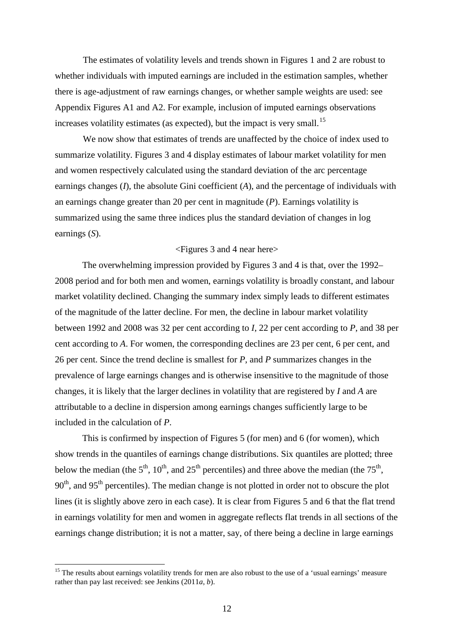The estimates of volatility levels and trends shown in Figures 1 and 2 are robust to whether individuals with imputed earnings are included in the estimation samples, whether there is age-adjustment of raw earnings changes, or whether sample weights are used: see Appendix Figures A1 and A2. For example, inclusion of imputed earnings observations increases volatility estimates (as expected), but the impact is very small.<sup>[15](#page-12-0)</sup>

We now show that estimates of trends are unaffected by the choice of index used to summarize volatility. Figures 3 and 4 display estimates of labour market volatility for men and women respectively calculated using the standard deviation of the arc percentage earnings changes (*I*), the absolute Gini coefficient (*A*), and the percentage of individuals with an earnings change greater than 20 per cent in magnitude (*P*). Earnings volatility is summarized using the same three indices plus the standard deviation of changes in log earnings (*S*).

### <Figures 3 and 4 near here>

The overwhelming impression provided by Figures 3 and 4 is that, over the 1992– 2008 period and for both men and women, earnings volatility is broadly constant, and labour market volatility declined. Changing the summary index simply leads to different estimates of the magnitude of the latter decline. For men, the decline in labour market volatility between 1992 and 2008 was 32 per cent according to *I*, 22 per cent according to *P*, and 38 per cent according to *A*. For women, the corresponding declines are 23 per cent, 6 per cent, and 26 per cent. Since the trend decline is smallest for *P*, and *P* summarizes changes in the prevalence of large earnings changes and is otherwise insensitive to the magnitude of those changes, it is likely that the larger declines in volatility that are registered by *I* and *A* are attributable to a decline in dispersion among earnings changes sufficiently large to be included in the calculation of *P*.

This is confirmed by inspection of Figures 5 (for men) and 6 (for women), which show trends in the quantiles of earnings change distributions. Six quantiles are plotted; three below the median (the  $5<sup>th</sup>$ ,  $10<sup>th</sup>$ , and  $25<sup>th</sup>$  percentiles) and three above the median (the  $75<sup>th</sup>$ ,  $90<sup>th</sup>$ , and  $95<sup>th</sup>$  percentiles). The median change is not plotted in order not to obscure the plot lines (it is slightly above zero in each case). It is clear from Figures 5 and 6 that the flat trend in earnings volatility for men and women in aggregate reflects flat trends in all sections of the earnings change distribution; it is not a matter, say, of there being a decline in large earnings

<span id="page-12-0"></span><sup>&</sup>lt;sup>15</sup> The results about earnings volatility trends for men are also robust to the use of a 'usual earnings' measure rather than pay last received: see Jenkins (2011*a*, *b*).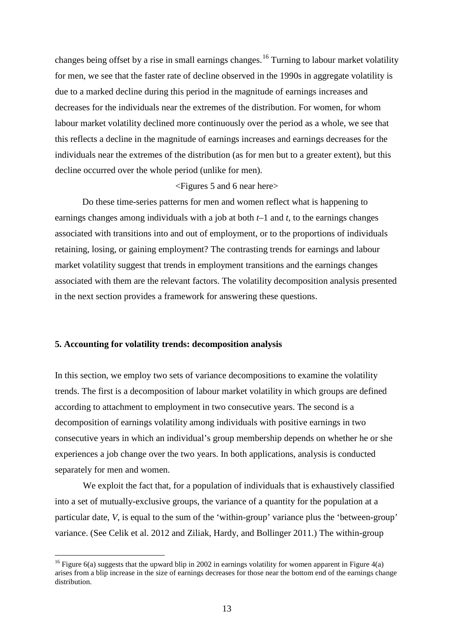changes being offset by a rise in small earnings changes.<sup>[16](#page-13-0)</sup> Turning to labour market volatility for men, we see that the faster rate of decline observed in the 1990s in aggregate volatility is due to a marked decline during this period in the magnitude of earnings increases and decreases for the individuals near the extremes of the distribution. For women, for whom labour market volatility declined more continuously over the period as a whole, we see that this reflects a decline in the magnitude of earnings increases and earnings decreases for the individuals near the extremes of the distribution (as for men but to a greater extent), but this decline occurred over the whole period (unlike for men).

#### <Figures 5 and 6 near here>

Do these time-series patterns for men and women reflect what is happening to earnings changes among individuals with a job at both *t–*1 and *t*, to the earnings changes associated with transitions into and out of employment, or to the proportions of individuals retaining, losing, or gaining employment? The contrasting trends for earnings and labour market volatility suggest that trends in employment transitions and the earnings changes associated with them are the relevant factors. The volatility decomposition analysis presented in the next section provides a framework for answering these questions.

#### **5. Accounting for volatility trends: decomposition analysis**

In this section, we employ two sets of variance decompositions to examine the volatility trends. The first is a decomposition of labour market volatility in which groups are defined according to attachment to employment in two consecutive years. The second is a decomposition of earnings volatility among individuals with positive earnings in two consecutive years in which an individual's group membership depends on whether he or she experiences a job change over the two years. In both applications, analysis is conducted separately for men and women.

We exploit the fact that, for a population of individuals that is exhaustively classified into a set of mutually-exclusive groups, the variance of a quantity for the population at a particular date, *V*, is equal to the sum of the 'within-group' variance plus the 'between-group' variance. (See Celik et al. 2012 and Ziliak, Hardy, and Bollinger 2011.) The within-group

<span id="page-13-0"></span><sup>&</sup>lt;sup>16</sup> Figure 6(a) suggests that the upward blip in 2002 in earnings volatility for women apparent in Figure 4(a) arises from a blip increase in the size of earnings decreases for those near the bottom end of the earnings change distribution.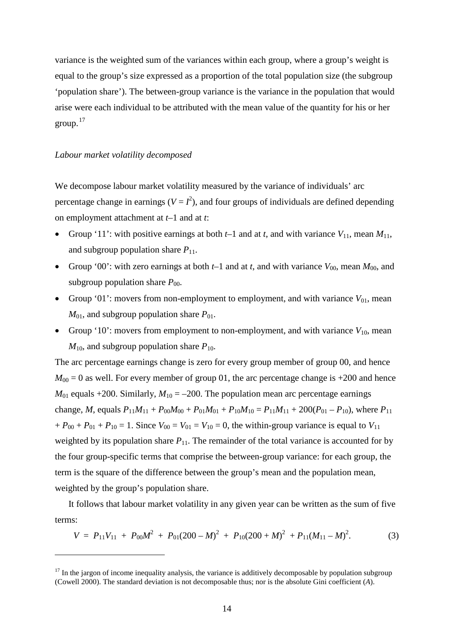variance is the weighted sum of the variances within each group, where a group's weight is equal to the group's size expressed as a proportion of the total population size (the subgroup 'population share'). The between-group variance is the variance in the population that would arise were each individual to be attributed with the mean value of the quantity for his or her group. $17$ 

### *Labour market volatility decomposed*

<u>.</u>

We decompose labour market volatility measured by the variance of individuals' arc percentage change in earnings  $(V = I^2)$ , and four groups of individuals are defined depending on employment attachment at *t–*1 and at *t*:

- Group '11': with positive earnings at both  $t-1$  and at  $t$ , and with variance  $V_{11}$ , mean  $M_{11}$ , and subgroup population share  $P_{11}$ .
- Group '00': with zero earnings at both  $t-1$  and at  $t$ , and with variance  $V_{00}$ , mean  $M_{00}$ , and subgroup population share  $P_{00}$ .
- Group '01': movers from non-employment to employment, and with variance  $V_{01}$ , mean  $M_{01}$ , and subgroup population share  $P_{01}$ .
- Group '10': movers from employment to non-employment, and with variance  $V_{10}$ , mean  $M_{10}$ , and subgroup population share  $P_{10}$ .

The arc percentage earnings change is zero for every group member of group 00, and hence  $M_{00} = 0$  as well. For every member of group 01, the arc percentage change is  $+200$  and hence  $M_{01}$  equals +200. Similarly,  $M_{10} = -200$ . The population mean arc percentage earnings change, *M*, equals  $P_{11}M_{11} + P_{00}M_{00} + P_{01}M_{01} + P_{10}M_{10} = P_{11}M_{11} + 200(P_{01} - P_{10})$ , where  $P_{11}$  $+ P_{00} + P_{01} + P_{10} = 1$ . Since  $V_{00} = V_{01} = V_{10} = 0$ , the within-group variance is equal to  $V_{11}$ weighted by its population share  $P_{11}$ . The remainder of the total variance is accounted for by the four group-specific terms that comprise the between-group variance: for each group, the term is the square of the difference between the group's mean and the population mean, weighted by the group's population share.

It follows that labour market volatility in any given year can be written as the sum of five terms:

$$
V = P_{11}V_{11} + P_{00}M^2 + P_{01}(200 - M)^2 + P_{10}(200 + M)^2 + P_{11}(M_{11} - M)^2.
$$
 (3)

<span id="page-14-0"></span> $17$  In the jargon of income inequality analysis, the variance is additively decomposable by population subgroup (Cowell 2000). The standard deviation is not decomposable thus; nor is the absolute Gini coefficient (*A*).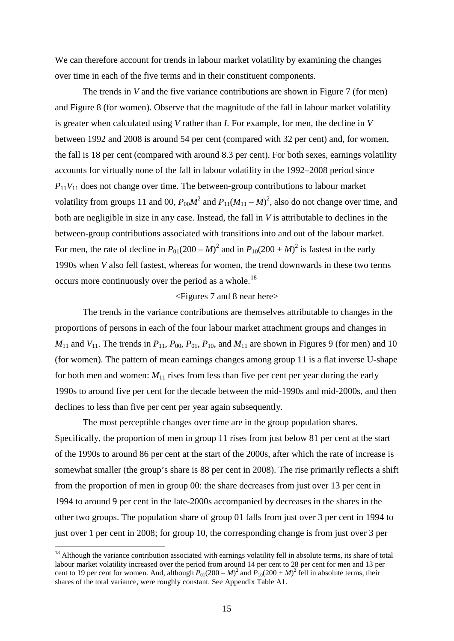We can therefore account for trends in labour market volatility by examining the changes over time in each of the five terms and in their constituent components.

The trends in *V* and the five variance contributions are shown in Figure 7 (for men) and Figure 8 (for women). Observe that the magnitude of the fall in labour market volatility is greater when calculated using *V* rather than *I*. For example, for men, the decline in *V* between 1992 and 2008 is around 54 per cent (compared with 32 per cent) and, for women, the fall is 18 per cent (compared with around 8.3 per cent). For both sexes, earnings volatility accounts for virtually none of the fall in labour volatility in the 1992–2008 period since  $P_{11}V_{11}$  does not change over time. The between-group contributions to labour market volatility from groups 11 and 00,  $P_{00}M^2$  and  $P_{11}(M_{11} - M)^2$ , also do not change over time, and both are negligible in size in any case. Instead, the fall in *V* is attributable to declines in the between-group contributions associated with transitions into and out of the labour market. For men, the rate of decline in  $P_{01}(200 - M)^2$  and in  $P_{10}(200 + M)^2$  is fastest in the early 1990s when *V* also fell fastest, whereas for women, the trend downwards in these two terms occurs more continuously over the period as a whole.<sup>[18](#page-15-0)</sup>

## <Figures 7 and 8 near here>

The trends in the variance contributions are themselves attributable to changes in the proportions of persons in each of the four labour market attachment groups and changes in  $M_{11}$  and  $V_{11}$ . The trends in  $P_{11}$ ,  $P_{00}$ ,  $P_{01}$ ,  $P_{10}$ , and  $M_{11}$  are shown in Figures 9 (for men) and 10 (for women). The pattern of mean earnings changes among group 11 is a flat inverse U-shape for both men and women:  $M_{11}$  rises from less than five per cent per year during the early 1990s to around five per cent for the decade between the mid-1990s and mid-2000s, and then declines to less than five per cent per year again subsequently.

The most perceptible changes over time are in the group population shares. Specifically, the proportion of men in group 11 rises from just below 81 per cent at the start of the 1990s to around 86 per cent at the start of the 2000s, after which the rate of increase is somewhat smaller (the group's share is 88 per cent in 2008). The rise primarily reflects a shift from the proportion of men in group 00: the share decreases from just over 13 per cent in 1994 to around 9 per cent in the late-2000s accompanied by decreases in the shares in the other two groups. The population share of group 01 falls from just over 3 per cent in 1994 to just over 1 per cent in 2008; for group 10, the corresponding change is from just over 3 per

<span id="page-15-0"></span><sup>&</sup>lt;sup>18</sup> Although the variance contribution associated with earnings volatility fell in absolute terms, its share of total labour market volatility increased over the period from around 14 per cent to 28 per cent for men and 13 per cent to 19 per cent for women. And, although  $P_{01}(200 - M)^2$  and  $P_{10}(200 + M)^2$  fell in absolute terms, their shares of the total variance, were roughly constant. See Appendix Table A1.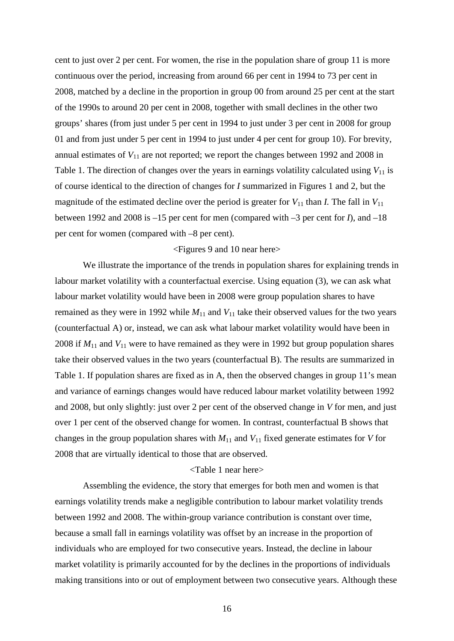cent to just over 2 per cent. For women, the rise in the population share of group 11 is more continuous over the period, increasing from around 66 per cent in 1994 to 73 per cent in 2008, matched by a decline in the proportion in group 00 from around 25 per cent at the start of the 1990s to around 20 per cent in 2008, together with small declines in the other two groups' shares (from just under 5 per cent in 1994 to just under 3 per cent in 2008 for group 01 and from just under 5 per cent in 1994 to just under 4 per cent for group 10). For brevity, annual estimates of  $V_{11}$  are not reported; we report the changes between 1992 and 2008 in Table 1. The direction of changes over the years in earnings volatility calculated using  $V_{11}$  is of course identical to the direction of changes for *I* summarized in Figures 1 and 2, but the magnitude of the estimated decline over the period is greater for  $V_{11}$  than *I*. The fall in  $V_{11}$ between 1992 and 2008 is –15 per cent for men (compared with –3 per cent for *I*), and –18 per cent for women (compared with –8 per cent).

### <Figures 9 and 10 near here>

We illustrate the importance of the trends in population shares for explaining trends in labour market volatility with a counterfactual exercise. Using equation (3), we can ask what labour market volatility would have been in 2008 were group population shares to have remained as they were in 1992 while  $M_{11}$  and  $V_{11}$  take their observed values for the two years (counterfactual A) or, instead, we can ask what labour market volatility would have been in 2008 if *M*<sup>11</sup> and *V*<sup>11</sup> were to have remained as they were in 1992 but group population shares take their observed values in the two years (counterfactual B). The results are summarized in Table 1. If population shares are fixed as in A, then the observed changes in group 11's mean and variance of earnings changes would have reduced labour market volatility between 1992 and 2008, but only slightly: just over 2 per cent of the observed change in *V* for men, and just over 1 per cent of the observed change for women. In contrast, counterfactual B shows that changes in the group population shares with  $M_{11}$  and  $V_{11}$  fixed generate estimates for *V* for 2008 that are virtually identical to those that are observed.

#### <Table 1 near here>

Assembling the evidence, the story that emerges for both men and women is that earnings volatility trends make a negligible contribution to labour market volatility trends between 1992 and 2008. The within-group variance contribution is constant over time, because a small fall in earnings volatility was offset by an increase in the proportion of individuals who are employed for two consecutive years. Instead, the decline in labour market volatility is primarily accounted for by the declines in the proportions of individuals making transitions into or out of employment between two consecutive years. Although these

16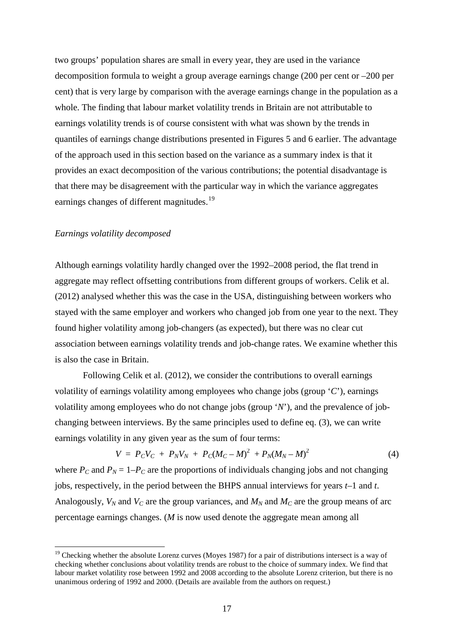two groups' population shares are small in every year, they are used in the variance decomposition formula to weight a group average earnings change (200 per cent or –200 per cent) that is very large by comparison with the average earnings change in the population as a whole. The finding that labour market volatility trends in Britain are not attributable to earnings volatility trends is of course consistent with what was shown by the trends in quantiles of earnings change distributions presented in Figures 5 and 6 earlier. The advantage of the approach used in this section based on the variance as a summary index is that it provides an exact decomposition of the various contributions; the potential disadvantage is that there may be disagreement with the particular way in which the variance aggregates earnings changes of different magnitudes.<sup>[19](#page-17-0)</sup>

#### *Earnings volatility decomposed*

Although earnings volatility hardly changed over the 1992–2008 period, the flat trend in aggregate may reflect offsetting contributions from different groups of workers. Celik et al. (2012) analysed whether this was the case in the USA, distinguishing between workers who stayed with the same employer and workers who changed job from one year to the next. They found higher volatility among job-changers (as expected), but there was no clear cut association between earnings volatility trends and job-change rates. We examine whether this is also the case in Britain.

Following Celik et al. (2012), we consider the contributions to overall earnings volatility of earnings volatility among employees who change jobs (group '*C*'), earnings volatility among employees who do not change jobs (group '*N*'), and the prevalence of jobchanging between interviews. By the same principles used to define eq. (3), we can write earnings volatility in any given year as the sum of four terms:

$$
V = P_C V_C + P_N V_N + P_C (M_C - M)^2 + P_N (M_N - M)^2 \tag{4}
$$

where  $P_c$  and  $P_N = 1-P_c$  are the proportions of individuals changing jobs and not changing jobs, respectively, in the period between the BHPS annual interviews for years *t*–1 and *t*. Analogously,  $V_N$  and  $V_C$  are the group variances, and  $M_N$  and  $M_C$  are the group means of arc percentage earnings changes. (*M* is now used denote the aggregate mean among all

<span id="page-17-0"></span><sup>&</sup>lt;sup>19</sup> Checking whether the absolute Lorenz curves (Moyes 1987) for a pair of distributions intersect is a way of checking whether conclusions about volatility trends are robust to the choice of summary index. We find that labour market volatility rose between 1992 and 2008 according to the absolute Lorenz criterion, but there is no unanimous ordering of 1992 and 2000. (Details are available from the authors on request.)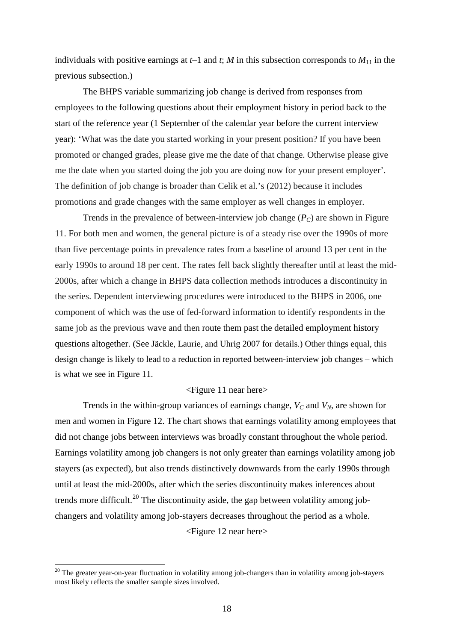individuals with positive earnings at  $t-1$  and  $t$ ;  $M$  in this subsection corresponds to  $M_{11}$  in the previous subsection.)

The BHPS variable summarizing job change is derived from responses from employees to the following questions about their employment history in period back to the start of the reference year (1 September of the calendar year before the current interview year): 'What was the date you started working in your present position? If you have been promoted or changed grades, please give me the date of that change. Otherwise please give me the date when you started doing the job you are doing now for your present employer'. The definition of job change is broader than Celik et al.'s (2012) because it includes promotions and grade changes with the same employer as well changes in employer.

Trends in the prevalence of between-interview job change  $(P_C)$  are shown in Figure 11. For both men and women, the general picture is of a steady rise over the 1990s of more than five percentage points in prevalence rates from a baseline of around 13 per cent in the early 1990s to around 18 per cent. The rates fell back slightly thereafter until at least the mid-2000s, after which a change in BHPS data collection methods introduces a discontinuity in the series. Dependent interviewing procedures were introduced to the BHPS in 2006, one component of which was the use of fed-forward information to identify respondents in the same job as the previous wave and then route them past the detailed employment history questions altogether. (See Jäckle, Laurie, and Uhrig 2007 for details.) Other things equal, this design change is likely to lead to a reduction in reported between-interview job changes – which is what we see in Figure 11.

### <Figure 11 near here>

Trends in the within-group variances of earnings change,  $V_C$  and  $V_N$ , are shown for men and women in Figure 12. The chart shows that earnings volatility among employees that did not change jobs between interviews was broadly constant throughout the whole period. Earnings volatility among job changers is not only greater than earnings volatility among job stayers (as expected), but also trends distinctively downwards from the early 1990s through until at least the mid-2000s, after which the series discontinuity makes inferences about trends more difficult.<sup>[20](#page-18-0)</sup> The discontinuity aside, the gap between volatility among jobchangers and volatility among job-stayers decreases throughout the period as a whole. <Figure 12 near here>

<span id="page-18-0"></span><sup>&</sup>lt;sup>20</sup> The greater year-on-year fluctuation in volatility among job-changers than in volatility among job-stayers most likely reflects the smaller sample sizes involved.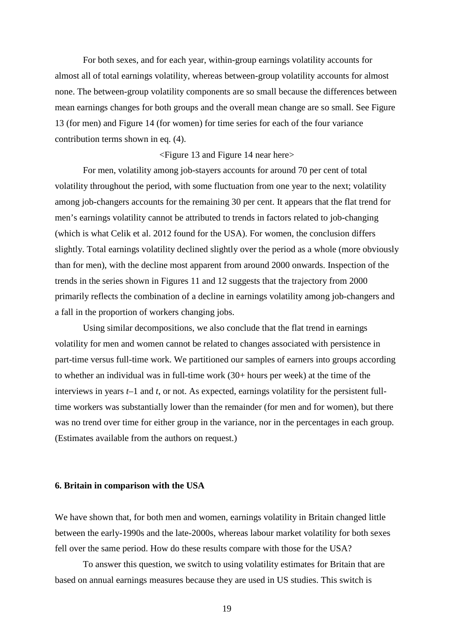For both sexes, and for each year, within-group earnings volatility accounts for almost all of total earnings volatility, whereas between-group volatility accounts for almost none. The between-group volatility components are so small because the differences between mean earnings changes for both groups and the overall mean change are so small. See Figure 13 (for men) and Figure 14 (for women) for time series for each of the four variance contribution terms shown in eq. (4).

<Figure 13 and Figure 14 near here>

For men, volatility among job-stayers accounts for around 70 per cent of total volatility throughout the period, with some fluctuation from one year to the next; volatility among job-changers accounts for the remaining 30 per cent. It appears that the flat trend for men's earnings volatility cannot be attributed to trends in factors related to job-changing (which is what Celik et al. 2012 found for the USA). For women, the conclusion differs slightly. Total earnings volatility declined slightly over the period as a whole (more obviously than for men), with the decline most apparent from around 2000 onwards. Inspection of the trends in the series shown in Figures 11 and 12 suggests that the trajectory from 2000 primarily reflects the combination of a decline in earnings volatility among job-changers and a fall in the proportion of workers changing jobs.

Using similar decompositions, we also conclude that the flat trend in earnings volatility for men and women cannot be related to changes associated with persistence in part-time versus full-time work. We partitioned our samples of earners into groups according to whether an individual was in full-time work (30+ hours per week) at the time of the interviews in years *t–*1 and *t*, or not. As expected, earnings volatility for the persistent fulltime workers was substantially lower than the remainder (for men and for women), but there was no trend over time for either group in the variance, nor in the percentages in each group. (Estimates available from the authors on request.)

#### **6. Britain in comparison with the USA**

We have shown that, for both men and women, earnings volatility in Britain changed little between the early-1990s and the late-2000s, whereas labour market volatility for both sexes fell over the same period. How do these results compare with those for the USA?

To answer this question, we switch to using volatility estimates for Britain that are based on annual earnings measures because they are used in US studies. This switch is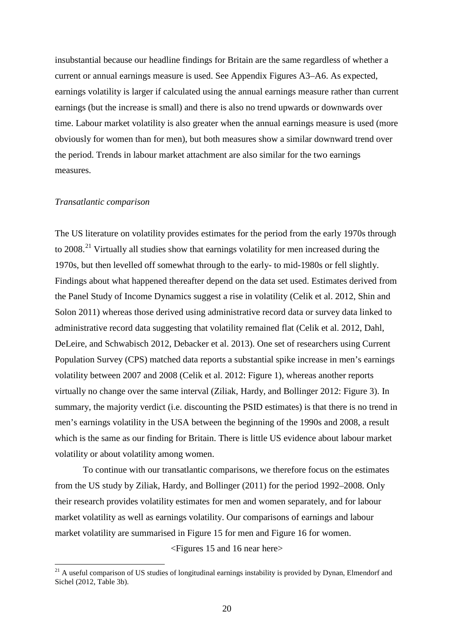insubstantial because our headline findings for Britain are the same regardless of whether a current or annual earnings measure is used. See Appendix Figures A3–A6. As expected, earnings volatility is larger if calculated using the annual earnings measure rather than current earnings (but the increase is small) and there is also no trend upwards or downwards over time. Labour market volatility is also greater when the annual earnings measure is used (more obviously for women than for men), but both measures show a similar downward trend over the period. Trends in labour market attachment are also similar for the two earnings measures.

#### *Transatlantic comparison*

The US literature on volatility provides estimates for the period from the early 1970s through to  $2008<sup>21</sup>$  $2008<sup>21</sup>$  $2008<sup>21</sup>$  Virtually all studies show that earnings volatility for men increased during the 1970s, but then levelled off somewhat through to the early- to mid-1980s or fell slightly. Findings about what happened thereafter depend on the data set used. Estimates derived from the Panel Study of Income Dynamics suggest a rise in volatility (Celik et al. 2012, Shin and Solon 2011) whereas those derived using administrative record data or survey data linked to administrative record data suggesting that volatility remained flat (Celik et al. 2012, Dahl, DeLeire, and Schwabisch 2012, Debacker et al. 2013). One set of researchers using Current Population Survey (CPS) matched data reports a substantial spike increase in men's earnings volatility between 2007 and 2008 (Celik et al. 2012: Figure 1), whereas another reports virtually no change over the same interval (Ziliak, Hardy, and Bollinger 2012: Figure 3). In summary, the majority verdict (i.e. discounting the PSID estimates) is that there is no trend in men's earnings volatility in the USA between the beginning of the 1990s and 2008, a result which is the same as our finding for Britain. There is little US evidence about labour market volatility or about volatility among women.

To continue with our transatlantic comparisons, we therefore focus on the estimates from the US study by Ziliak, Hardy, and Bollinger (2011) for the period 1992–2008. Only their research provides volatility estimates for men and women separately, and for labour market volatility as well as earnings volatility. Our comparisons of earnings and labour market volatility are summarised in Figure 15 for men and Figure 16 for women.

<Figures 15 and 16 near here>

<span id="page-20-0"></span><sup>&</sup>lt;sup>21</sup> A useful comparison of US studies of longitudinal earnings instability is provided by Dynan, Elmendorf and Sichel (2012, Table 3b).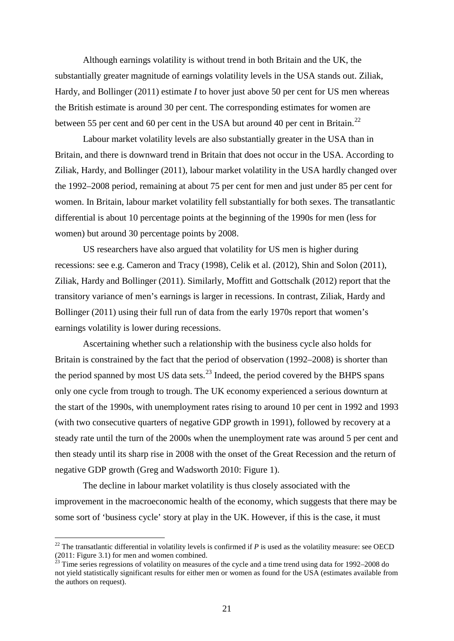Although earnings volatility is without trend in both Britain and the UK, the substantially greater magnitude of earnings volatility levels in the USA stands out. Ziliak, Hardy, and Bollinger (2011) estimate *I* to hover just above 50 per cent for US men whereas the British estimate is around 30 per cent. The corresponding estimates for women are between 55 per cent and 60 per cent in the USA but around 40 per cent in Britain.<sup>[22](#page-21-0)</sup>

Labour market volatility levels are also substantially greater in the USA than in Britain, and there is downward trend in Britain that does not occur in the USA. According to Ziliak, Hardy, and Bollinger (2011), labour market volatility in the USA hardly changed over the 1992–2008 period, remaining at about 75 per cent for men and just under 85 per cent for women. In Britain, labour market volatility fell substantially for both sexes. The transatlantic differential is about 10 percentage points at the beginning of the 1990s for men (less for women) but around 30 percentage points by 2008.

US researchers have also argued that volatility for US men is higher during recessions: see e.g. Cameron and Tracy (1998), Celik et al. (2012), Shin and Solon (2011), Ziliak, Hardy and Bollinger (2011). Similarly, Moffitt and Gottschalk (2012) report that the transitory variance of men's earnings is larger in recessions. In contrast, Ziliak, Hardy and Bollinger (2011) using their full run of data from the early 1970s report that women's earnings volatility is lower during recessions.

Ascertaining whether such a relationship with the business cycle also holds for Britain is constrained by the fact that the period of observation (1992–2008) is shorter than the period spanned by most US data sets.<sup>[23](#page-21-1)</sup> Indeed, the period covered by the BHPS spans only one cycle from trough to trough. The UK economy experienced a serious downturn at the start of the 1990s, with unemployment rates rising to around 10 per cent in 1992 and 1993 (with two consecutive quarters of negative GDP growth in 1991), followed by recovery at a steady rate until the turn of the 2000s when the unemployment rate was around 5 per cent and then steady until its sharp rise in 2008 with the onset of the Great Recession and the return of negative GDP growth (Greg and Wadsworth 2010: Figure 1).

The decline in labour market volatility is thus closely associated with the improvement in the macroeconomic health of the economy, which suggests that there may be some sort of 'business cycle' story at play in the UK. However, if this is the case, it must

<span id="page-21-0"></span><sup>&</sup>lt;sup>22</sup> The transatlantic differential in volatility levels is confirmed if  $P$  is used as the volatility measure: see OECD (2011: Figure 3.1) for men and women combined.

<span id="page-21-1"></span> $^{23}$  Time series regressions of volatility on measures of the cycle and a time trend using data for 1992–2008 do not yield statistically significant results for either men or women as found for the USA (estimates available from the authors on request).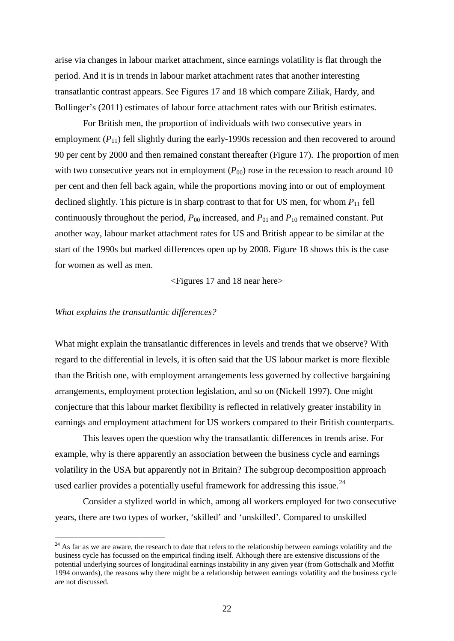arise via changes in labour market attachment, since earnings volatility is flat through the period. And it is in trends in labour market attachment rates that another interesting transatlantic contrast appears. See Figures 17 and 18 which compare Ziliak, Hardy, and Bollinger's (2011) estimates of labour force attachment rates with our British estimates.

For British men, the proportion of individuals with two consecutive years in employment  $(P_{11})$  fell slightly during the early-1990s recession and then recovered to around 90 per cent by 2000 and then remained constant thereafter (Figure 17). The proportion of men with two consecutive years not in employment  $(P_{00})$  rose in the recession to reach around 10 per cent and then fell back again, while the proportions moving into or out of employment declined slightly. This picture is in sharp contrast to that for US men, for whom  $P_{11}$  fell continuously throughout the period,  $P_{00}$  increased, and  $P_{01}$  and  $P_{10}$  remained constant. Put another way, labour market attachment rates for US and British appear to be similar at the start of the 1990s but marked differences open up by 2008. Figure 18 shows this is the case for women as well as men.

<Figures 17 and 18 near here>

## *What explains the transatlantic differences?*

What might explain the transatlantic differences in levels and trends that we observe? With regard to the differential in levels, it is often said that the US labour market is more flexible than the British one, with employment arrangements less governed by collective bargaining arrangements, employment protection legislation, and so on (Nickell 1997). One might conjecture that this labour market flexibility is reflected in relatively greater instability in earnings and employment attachment for US workers compared to their British counterparts.

This leaves open the question why the transatlantic differences in trends arise. For example, why is there apparently an association between the business cycle and earnings volatility in the USA but apparently not in Britain? The subgroup decomposition approach used earlier provides a potentially useful framework for addressing this issue.<sup>[24](#page-22-0)</sup>

Consider a stylized world in which, among all workers employed for two consecutive years, there are two types of worker, 'skilled' and 'unskilled'. Compared to unskilled

<span id="page-22-0"></span><sup>&</sup>lt;sup>24</sup> As far as we are aware, the research to date that refers to the relationship between earnings volatility and the business cycle has focussed on the empirical finding itself. Although there are extensive discussions of the potential underlying sources of longitudinal earnings instability in any given year (from Gottschalk and Moffitt 1994 onwards), the reasons why there might be a relationship between earnings volatility and the business cycle are not discussed.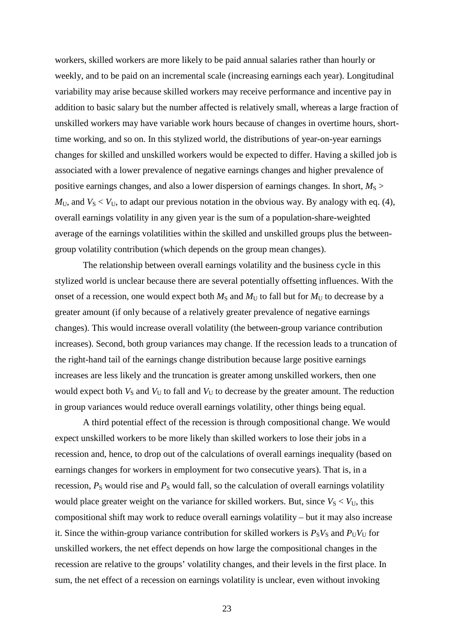workers, skilled workers are more likely to be paid annual salaries rather than hourly or weekly, and to be paid on an incremental scale (increasing earnings each year). Longitudinal variability may arise because skilled workers may receive performance and incentive pay in addition to basic salary but the number affected is relatively small, whereas a large fraction of unskilled workers may have variable work hours because of changes in overtime hours, shorttime working, and so on. In this stylized world, the distributions of year-on-year earnings changes for skilled and unskilled workers would be expected to differ. Having a skilled job is associated with a lower prevalence of negative earnings changes and higher prevalence of positive earnings changes, and also a lower dispersion of earnings changes. In short,  $M<sub>S</sub>$  $M_U$ , and  $V_S < V_U$ , to adapt our previous notation in the obvious way. By analogy with eq. (4), overall earnings volatility in any given year is the sum of a population-share-weighted average of the earnings volatilities within the skilled and unskilled groups plus the betweengroup volatility contribution (which depends on the group mean changes).

The relationship between overall earnings volatility and the business cycle in this stylized world is unclear because there are several potentially offsetting influences. With the onset of a recession, one would expect both  $M<sub>S</sub>$  and  $M<sub>U</sub>$  to fall but for  $M<sub>U</sub>$  to decrease by a greater amount (if only because of a relatively greater prevalence of negative earnings changes). This would increase overall volatility (the between-group variance contribution increases). Second, both group variances may change. If the recession leads to a truncation of the right-hand tail of the earnings change distribution because large positive earnings increases are less likely and the truncation is greater among unskilled workers, then one would expect both  $V_S$  and  $V_U$  to fall and  $V_U$  to decrease by the greater amount. The reduction in group variances would reduce overall earnings volatility, other things being equal.

A third potential effect of the recession is through compositional change. We would expect unskilled workers to be more likely than skilled workers to lose their jobs in a recession and, hence, to drop out of the calculations of overall earnings inequality (based on earnings changes for workers in employment for two consecutive years). That is, in a recession,  $P_S$  would rise and  $P_S$  would fall, so the calculation of overall earnings volatility would place greater weight on the variance for skilled workers. But, since  $V_S < V_U$ , this compositional shift may work to reduce overall earnings volatility – but it may also increase it. Since the within-group variance contribution for skilled workers is  $P_S V_S$  and  $P_U V_U$  for unskilled workers, the net effect depends on how large the compositional changes in the recession are relative to the groups' volatility changes, and their levels in the first place. In sum, the net effect of a recession on earnings volatility is unclear, even without invoking

23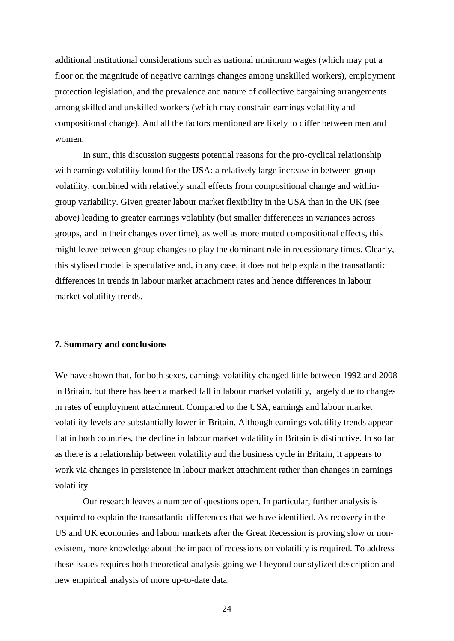additional institutional considerations such as national minimum wages (which may put a floor on the magnitude of negative earnings changes among unskilled workers), employment protection legislation, and the prevalence and nature of collective bargaining arrangements among skilled and unskilled workers (which may constrain earnings volatility and compositional change). And all the factors mentioned are likely to differ between men and women.

In sum, this discussion suggests potential reasons for the pro-cyclical relationship with earnings volatility found for the USA: a relatively large increase in between-group volatility, combined with relatively small effects from compositional change and withingroup variability. Given greater labour market flexibility in the USA than in the UK (see above) leading to greater earnings volatility (but smaller differences in variances across groups, and in their changes over time), as well as more muted compositional effects, this might leave between-group changes to play the dominant role in recessionary times. Clearly, this stylised model is speculative and, in any case, it does not help explain the transatlantic differences in trends in labour market attachment rates and hence differences in labour market volatility trends.

#### **7. Summary and conclusions**

We have shown that, for both sexes, earnings volatility changed little between 1992 and 2008 in Britain, but there has been a marked fall in labour market volatility, largely due to changes in rates of employment attachment. Compared to the USA, earnings and labour market volatility levels are substantially lower in Britain. Although earnings volatility trends appear flat in both countries, the decline in labour market volatility in Britain is distinctive. In so far as there is a relationship between volatility and the business cycle in Britain, it appears to work via changes in persistence in labour market attachment rather than changes in earnings volatility.

Our research leaves a number of questions open. In particular, further analysis is required to explain the transatlantic differences that we have identified. As recovery in the US and UK economies and labour markets after the Great Recession is proving slow or nonexistent, more knowledge about the impact of recessions on volatility is required. To address these issues requires both theoretical analysis going well beyond our stylized description and new empirical analysis of more up-to-date data.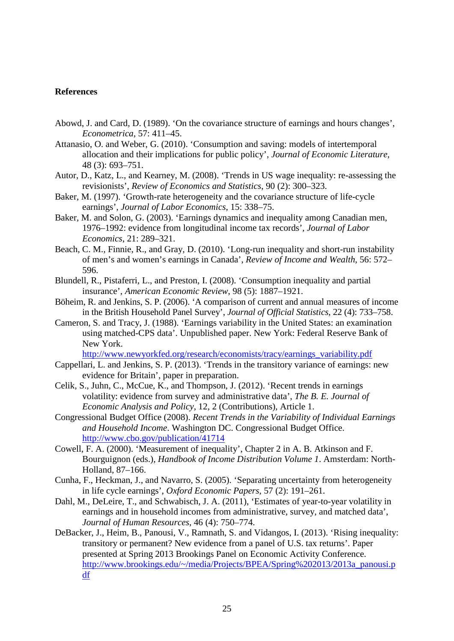### **References**

- Abowd, J. and Card, D. (1989). 'On the covariance structure of earnings and hours changes', *Econometrica*, 57: 411–45.
- Attanasio, O. and Weber, G. (2010). 'Consumption and saving: models of intertemporal allocation and their implications for public policy', *Journal of Economic Literature*, 48 (3): 693–751.
- Autor, D., Katz, L., and Kearney, M. (2008). 'Trends in US wage inequality: re-assessing the revisionists', *Review of Economics and Statistics*, 90 (2): 300–323.
- Baker, M. (1997). 'Growth-rate heterogeneity and the covariance structure of life-cycle earnings', *Journal of Labor Economics*, 15: 338–75.
- Baker, M. and Solon, G. (2003). 'Earnings dynamics and inequality among Canadian men, 1976–1992: evidence from longitudinal income tax records', *Journal of Labor Economics*, 21: 289–321.
- Beach, C. M., Finnie, R., and Gray, D. (2010). 'Long-run inequality and short-run instability of men's and women's earnings in Canada', *Review of Income and Wealth*, 56: 572– 596.
- Blundell, R., Pistaferri, L., and Preston, I. (2008). 'Consumption inequality and partial insurance', *American Economic Review*, 98 (5): 1887–1921.
- Böheim, R. and Jenkins, S. P. (2006). 'A comparison of current and annual measures of income in the British Household Panel Survey', *Journal of Official Statistics*, 22 (4): 733–758.
- Cameron, S. and Tracy, J. (1988). 'Earnings variability in the United States: an examination using matched-CPS data'. Unpublished paper. New York: Federal Reserve Bank of New York.

[http://www.newyorkfed.org/research/economists/tracy/earnings\\_variability.pdf](http://www.newyorkfed.org/research/economists/tracy/earnings_variability.pdf)

- Cappellari, L. and Jenkins, S. P. (2013). 'Trends in the transitory variance of earnings: new evidence for Britain', paper in preparation.
- Celik, S., Juhn, C., McCue, K., and Thompson, J. (2012). 'Recent trends in earnings volatility: evidence from survey and administrative data', *The B. E. Journal of Economic Analysis and Policy*, 12, 2 (Contributions), Article 1.
- Congressional Budget Office (2008). *Recent Trends in the Variability of Individual Earnings and Household Income*. Washington DC. Congressional Budget Office. <http://www.cbo.gov/publication/41714>
- Cowell, F. A. (2000). 'Measurement of inequality', Chapter 2 in A. B. Atkinson and F. Bourguignon (eds.), *Handbook of Income Distribution Volume 1*. Amsterdam: North-Holland, 87–166.
- Cunha, F., Heckman, J., and Navarro, S. (2005). 'Separating uncertainty from heterogeneity in life cycle earnings', *Oxford Economic Papers*, 57 (2): 191–261.
- Dahl, M., DeLeire, T., and Schwabisch, J. A. (2011), 'Estimates of year-to-year volatility in earnings and in household incomes from administrative, survey, and matched data', *Journal of Human Resources*, 46 (4): 750–774.
- DeBacker, J., Heim, B., Panousi, V., Ramnath, S. and Vidangos, I. (2013). 'Rising inequality: transitory or permanent? New evidence from a panel of U.S. tax returns'. Paper presented at Spring 2013 Brookings Panel on Economic Activity Conference. [http://www.brookings.edu/~/media/Projects/BPEA/Spring%202013/2013a\\_panousi.p](http://www.brookings.edu/~/media/Projects/BPEA/Spring%202013/2013a_panousi.pdf) [df](http://www.brookings.edu/~/media/Projects/BPEA/Spring%202013/2013a_panousi.pdf)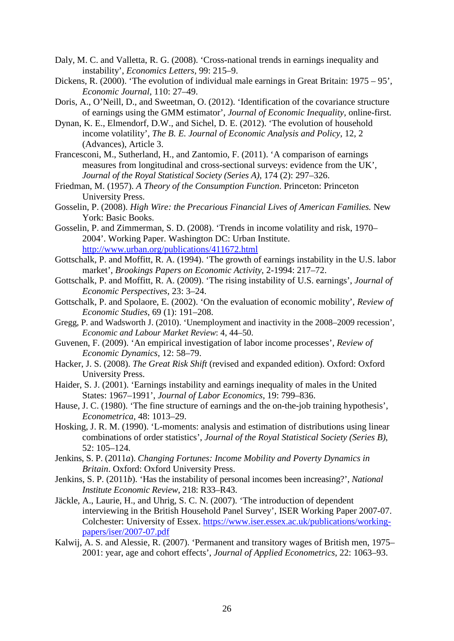- Daly, M. C. and Valletta, R. G. (2008). 'Cross-national trends in earnings inequality and instability', *Economics Letters*, 99: 215–9.
- Dickens, R. (2000). 'The evolution of individual male earnings in Great Britain: 1975 95'. *Economic Journal*, 110: 27–49.
- Doris, A., O'Neill, D., and Sweetman, O. (2012). 'Identification of the covariance structure of earnings using the GMM estimator', *Journal of Economic Inequality*, online-first.
- Dynan, K. E., Elmendorf, D.W., and Sichel, D. E. (2012). 'The evolution of household income volatility', *The B. E. Journal of Economic Analysis and Policy*, 12, 2 (Advances), Article 3.
- Francesconi, M., Sutherland, H., and Zantomio, F. (2011). 'A comparison of earnings measures from longitudinal and cross-sectional surveys: evidence from the UK', *Journal of the Royal Statistical Society (Series A)*, 174 (2): 297–326.
- Friedman, M. (1957). *A Theory of the Consumption Function*. Princeton: Princeton University Press.
- Gosselin, P. (2008). *High Wire: the Precarious Financial Lives of American Families.* New York: Basic Books.
- Gosselin, P. and Zimmerman, S. D. (2008). 'Trends in income volatility and risk, 1970– 2004'. Working Paper. Washington DC: Urban Institute. <http://www.urban.org/publications/411672.html>
- Gottschalk, P. and Moffitt, R. A. (1994). 'The growth of earnings instability in the U.S. labor market', *Brookings Papers on Economic Activity*, 2-1994: 217–72.
- Gottschalk, P. and Moffitt, R. A. (2009). 'The rising instability of U.S. earnings', *Journal of Economic Perspectives*, 23: 3–24.
- Gottschalk, P. and Spolaore, E. (2002). 'On the evaluation of economic mobility', *Review of Economic Studies*, 69 (1): 191–208.
- Gregg, P. and Wadsworth J. (2010). 'Unemployment and inactivity in the 2008–2009 recession', *Economic and Labour Market Review*: 4, 44–50.
- Guvenen, F. (2009). 'An empirical investigation of labor income processes', *Review of Economic Dynamics*, 12: 58–79.
- Hacker, J. S. (2008). *The Great Risk Shift* (revised and expanded edition). Oxford: Oxford University Press.
- Haider, S. J. (2001). 'Earnings instability and earnings inequality of males in the United States: 1967–1991', *Journal of Labor Economics*, 19: 799–836.
- Hause, J. C. (1980). 'The fine structure of earnings and the on-the-job training hypothesis', *Econometrica*, 48: 1013–29.
- Hosking, J. R. M. (1990). 'L-moments: analysis and estimation of distributions using linear combinations of order statistics', *Journal of the Royal Statistical Society (Series B)*, 52: 105–124.
- Jenkins, S. P. (2011*a*). *Changing Fortunes: Income Mobility and Poverty Dynamics in Britain*. Oxford: Oxford University Press.
- Jenkins, S. P. (2011*b*). 'Has the instability of personal incomes been increasing?', *National Institute Economic Review*, 218: R33–R43.
- Jäckle, A., Laurie, H., and Uhrig, S. C. N. (2007). 'The introduction of dependent interviewing in the British Household Panel Survey', ISER Working Paper 2007-07. Colchester: University of Essex. [https://www.iser.essex.ac.uk/publications/working](https://www.iser.essex.ac.uk/publications/working-papers/iser/2007-07.pdf)[papers/iser/2007-07.pdf](https://www.iser.essex.ac.uk/publications/working-papers/iser/2007-07.pdf)
- Kalwij, A. S. and Alessie, R. (2007). 'Permanent and transitory wages of British men, 1975– 2001: year, age and cohort effects', *Journal of Applied Econometrics*, 22: 1063–93.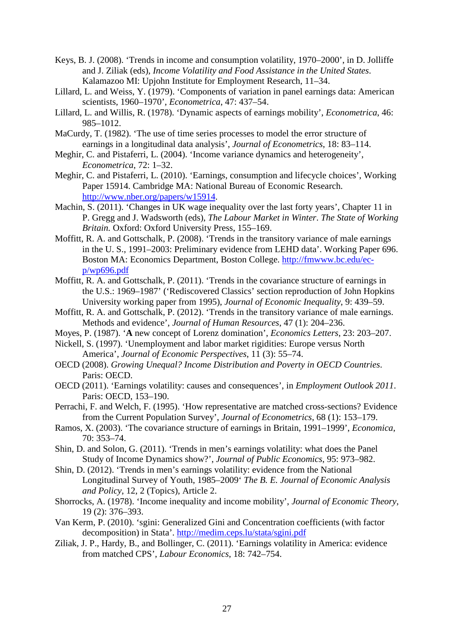- Keys, B. J. (2008). 'Trends in income and consumption volatility, 1970–2000', in D. Jolliffe and J. Ziliak (eds), *Income Volatility and Food Assistance in the United States*. Kalamazoo MI: Upjohn Institute for Employment Research, 11–34.
- Lillard, L. and Weiss, Y. (1979). 'Components of variation in panel earnings data: American scientists, 1960–1970', *Econometrica*, 47: 437–54.
- Lillard, L. and Willis, R. (1978). 'Dynamic aspects of earnings mobility', *Econometrica*, 46: 985–1012.
- MaCurdy, T. (1982). 'The use of time series processes to model the error structure of earnings in a longitudinal data analysis', *Journal of Econometrics*, 18: 83–114.
- Meghir, C. and Pistaferri, L. (2004). 'Income variance dynamics and heterogeneity', *Econometrica*, 72: 1–32.
- Meghir, C. and Pistaferri, L. (2010). 'Earnings, consumption and lifecycle choices', Working Paper 15914. Cambridge MA: National Bureau of Economic Research. [http://www.nber.org/papers/w15914.](http://www.nber.org/papers/w15914)
- Machin, S. (2011). 'Changes in UK wage inequality over the last forty years', Chapter 11 in P. Gregg and J. Wadsworth (eds), *The Labour Market in Winter*. *The State of Working Britain.* Oxford: Oxford University Press, 155–169.
- Moffitt, R. A. and Gottschalk, P. (2008). 'Trends in the transitory variance of male earnings in the U. S., 1991–2003: Preliminary evidence from LEHD data'. Working Paper 696. Boston MA: Economics Department, Boston College. [http://fmwww.bc.edu/ec](http://fmwww.bc.edu/ec-p/wp696.pdf)[p/wp696.pdf](http://fmwww.bc.edu/ec-p/wp696.pdf)
- Moffitt, R. A. and Gottschalk, P. (2011). 'Trends in the covariance structure of earnings in the U.S.: 1969–1987' ('Rediscovered Classics' section reproduction of John Hopkins University working paper from 1995), *Journal of Economic Inequality*, 9: 439–59.
- Moffitt, R. A. and Gottschalk, P. (2012). 'Trends in the transitory variance of male earnings. Methods and evidence', *Journal of Human Resources*, 47 (1): 204–236.
- Moyes, P. (1987). '**A** new concept of Lorenz domination', *Economics Letters*, 23: 203–207.
- Nickell, S. (1997). 'Unemployment and labor market rigidities: Europe versus North America', *Journal of Economic Perspectives*, 11 (3): 55–74.
- OECD (2008). *Growing Unequal? Income Distribution and Poverty in OECD Countries*. Paris: OECD.
- OECD (2011). 'Earnings volatility: causes and consequences', in *Employment Outlook 2011*. Paris: OECD, 153–190.
- Perrachi, F. and Welch, F. (1995). 'How representative are matched cross-sections? Evidence from the Current Population Survey', *Journal of Econometrics*, 68 (1): 153–179.
- Ramos, X. (2003). 'The covariance structure of earnings in Britain, 1991–1999', *Economica*, 70: 353–74.
- Shin, D. and Solon, G. (2011). 'Trends in men's earnings volatility: what does the Panel Study of Income Dynamics show?', *Journal of Public Economics*, 95: 973–982.
- Shin, D. (2012). 'Trends in men's earnings volatility: evidence from the National Longitudinal Survey of Youth, 1985–2009' *The B. E. Journal of Economic Analysis and Policy*, 12, 2 (Topics), Article 2.
- Shorrocks, A. (1978). 'Income inequality and income mobility', *Journal of Economic Theory*, 19 (2): 376–393.
- Van Kerm, P. (2010). 'sgini: Generalized Gini and Concentration coefficients (with factor decomposition) in Stata'. <http://medim.ceps.lu/stata/sgini.pdf>
- Ziliak, J. P., Hardy, B., and Bollinger, C. (2011). 'Earnings volatility in America: evidence from matched CPS', *Labour Economics*, 18: 742–754.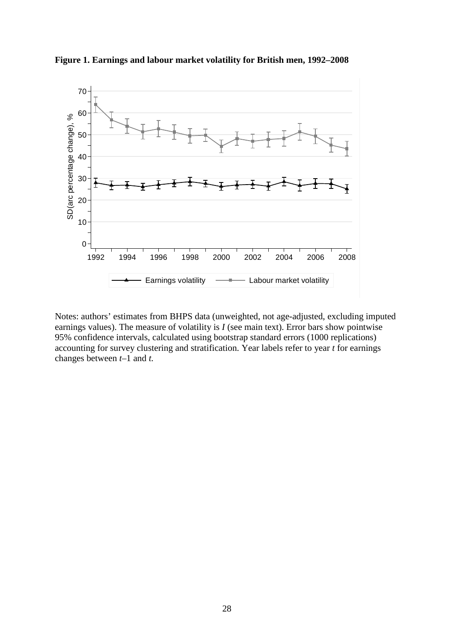

**Figure 1. Earnings and labour market volatility for British men, 1992–2008**

Notes: authors' estimates from BHPS data (unweighted, not age-adjusted, excluding imputed earnings values). The measure of volatility is *I* (see main text). Error bars show pointwise 95% confidence intervals, calculated using bootstrap standard errors (1000 replications) accounting for survey clustering and stratification. Year labels refer to year *t* for earnings changes between *t*–1 and *t.*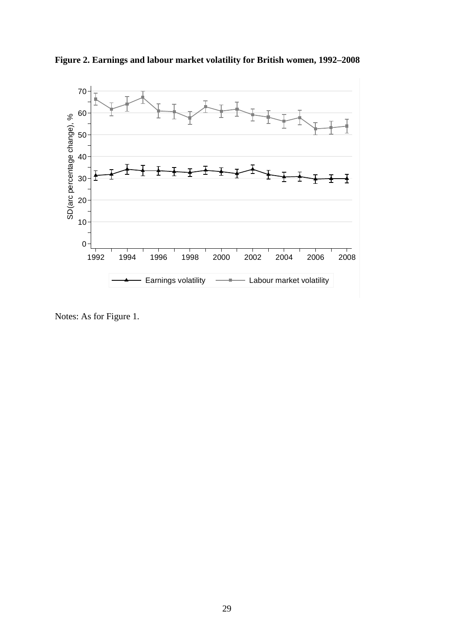**Figure 2. Earnings and labour market volatility for British women, 1992–2008** 



Notes: As for Figure 1.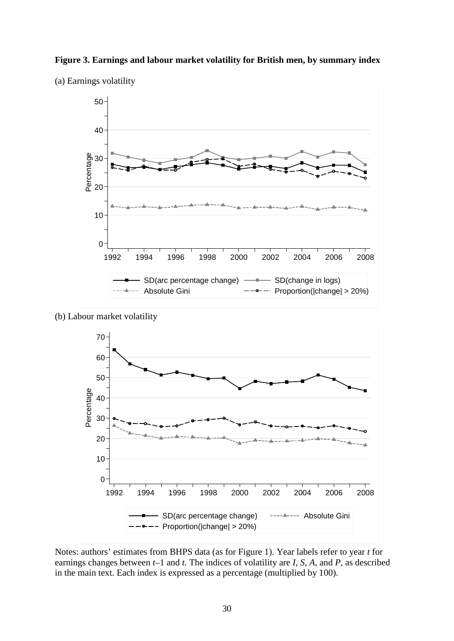



(a) Earnings volatility

(b) Labour market volatility



Notes: authors' estimates from BHPS data (as for Figure 1). Year labels refer to year *t* for earnings changes between *t*–1 and *t.* The indices of volatility are *I*, *S*, *A*, and *P*, as described in the main text. Each index is expressed as a percentage (multiplied by 100).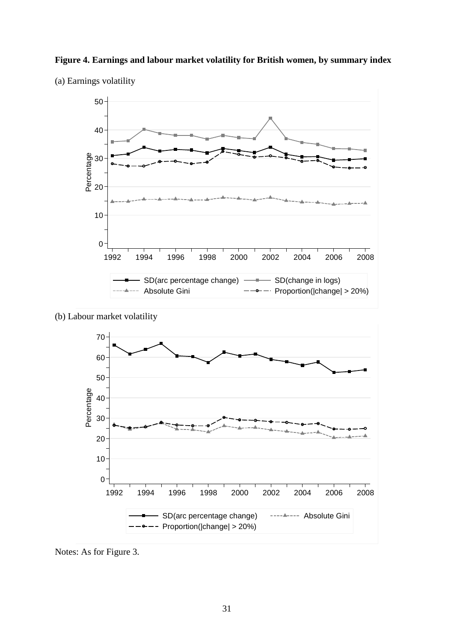



(a) Earnings volatility

(b) Labour market volatility



Notes: As for Figure 3.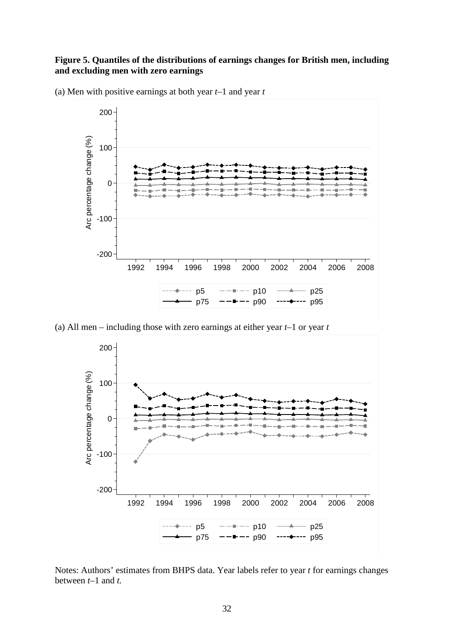## **Figure 5. Quantiles of the distributions of earnings changes for British men, including and excluding men with zero earnings**



(a) Men with positive earnings at both year *t*–1 and year *t*

(a) All men – including those with zero earnings at either year *t*–1 or year *t*



Notes: Authors' estimates from BHPS data. Year labels refer to year *t* for earnings changes between *t*–1 and *t.*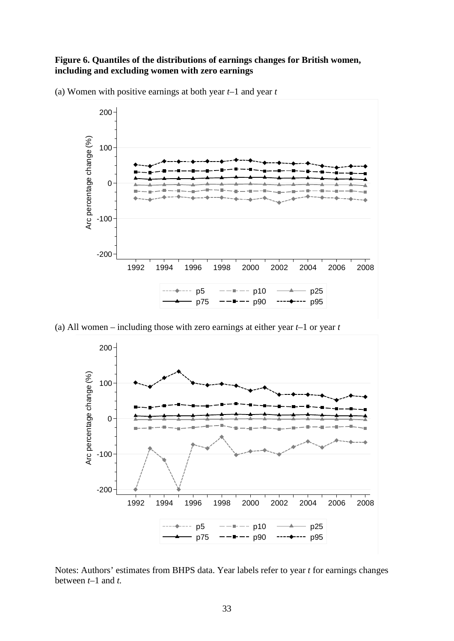### **Figure 6. Quantiles of the distributions of earnings changes for British women, including and excluding women with zero earnings**

(a) Women with positive earnings at both year *t*–1 and year *t*



(a) All women – including those with zero earnings at either year *t*–1 or year *t*



Notes: Authors' estimates from BHPS data. Year labels refer to year *t* for earnings changes between *t*–1 and *t.*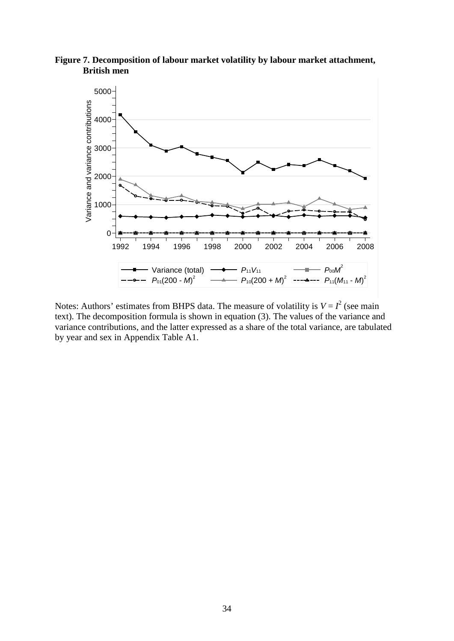**Figure 7. Decomposition of labour market volatility by labour market attachment, British men**



Notes: Authors' estimates from BHPS data. The measure of volatility is  $V = I^2$  (see main text). The decomposition formula is shown in equation (3). The values of the variance and variance contributions, and the latter expressed as a share of the total variance, are tabulated by year and sex in Appendix Table A1.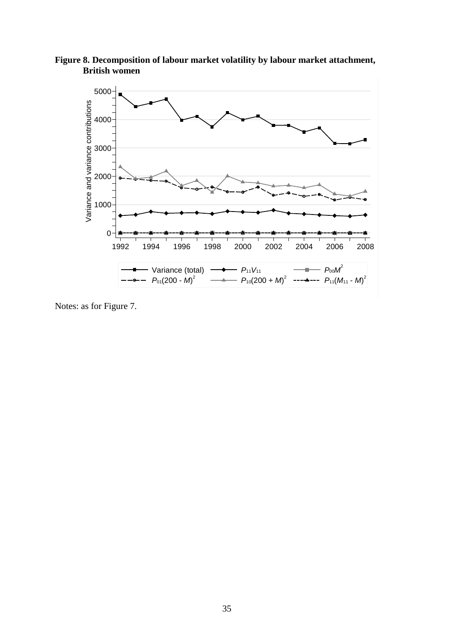**Figure 8. Decomposition of labour market volatility by labour market attachment, British women**



Notes: as for Figure 7.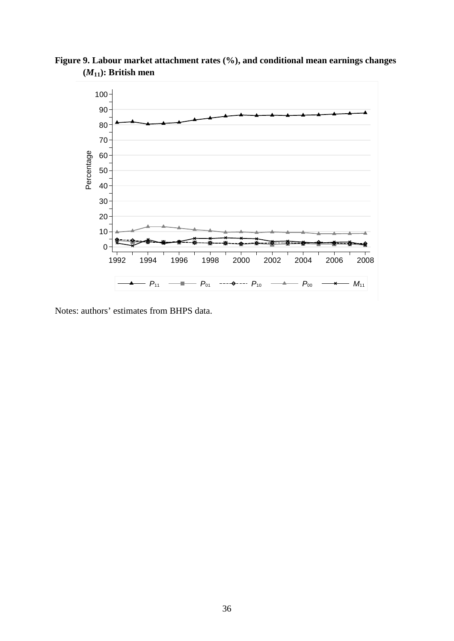

**Figure 9. Labour market attachment rates (%), and conditional mean earnings changes (***M***11): British men**

Notes: authors' estimates from BHPS data.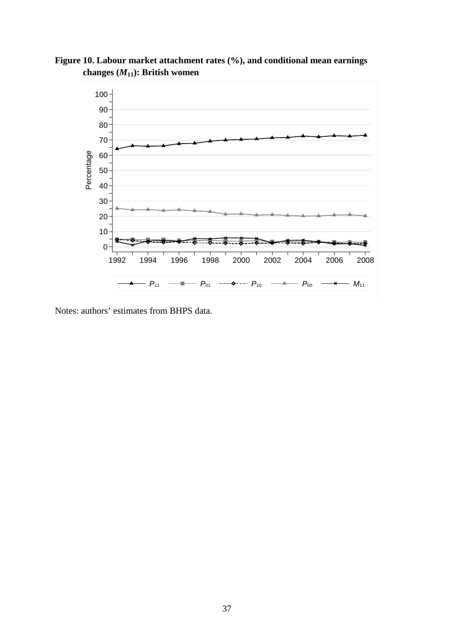

**Figure 10. Labour market attachment rates (%), and conditional mean earnings changes (***M***11): British women**

Notes: authors' estimates from BHPS data.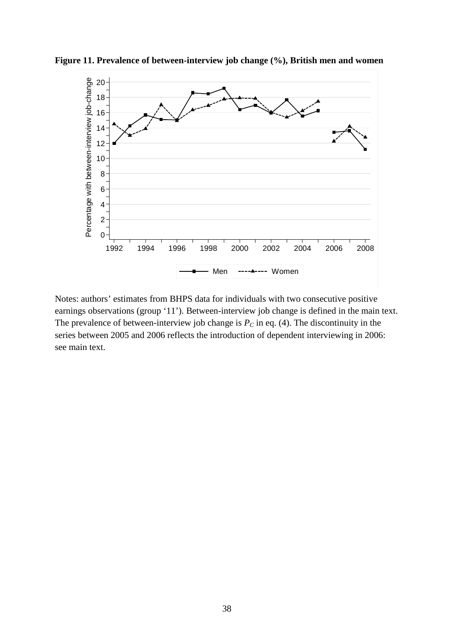

**Figure 11. Prevalence of between-interview job change (%), British men and women**

Notes: authors' estimates from BHPS data for individuals with two consecutive positive earnings observations (group '11'). Between-interview job change is defined in the main text. The prevalence of between-interview job change is  $P<sub>C</sub>$  in eq. (4). The discontinuity in the series between 2005 and 2006 reflects the introduction of dependent interviewing in 2006: see main text.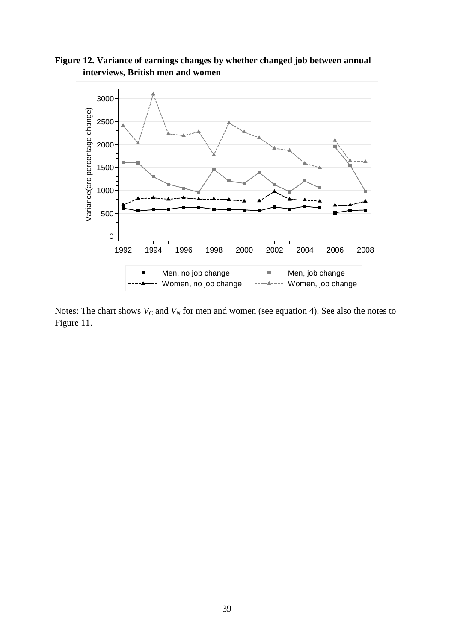**Figure 12. Variance of earnings changes by whether changed job between annual interviews, British men and women**



Notes: The chart shows  $V_C$  and  $V_N$  for men and women (see equation 4). See also the notes to Figure 11.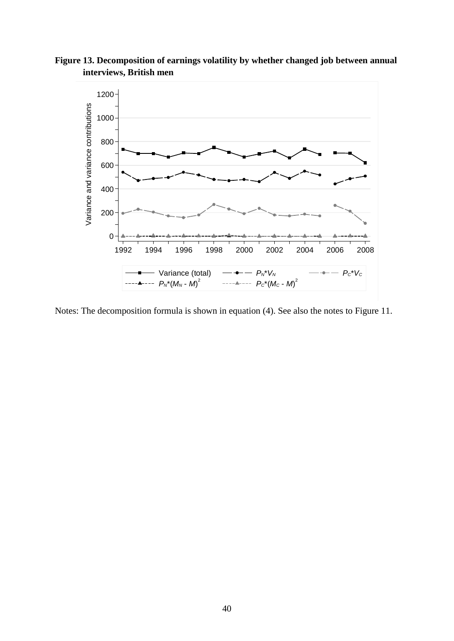**Figure 13. Decomposition of earnings volatility by whether changed job between annual interviews, British men**



Notes: The decomposition formula is shown in equation (4). See also the notes to Figure 11.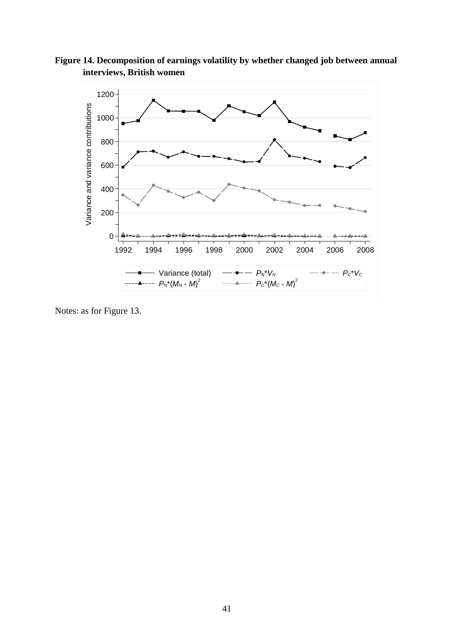**Figure 14. Decomposition of earnings volatility by whether changed job between annual interviews, British women**



Notes: as for Figure 13.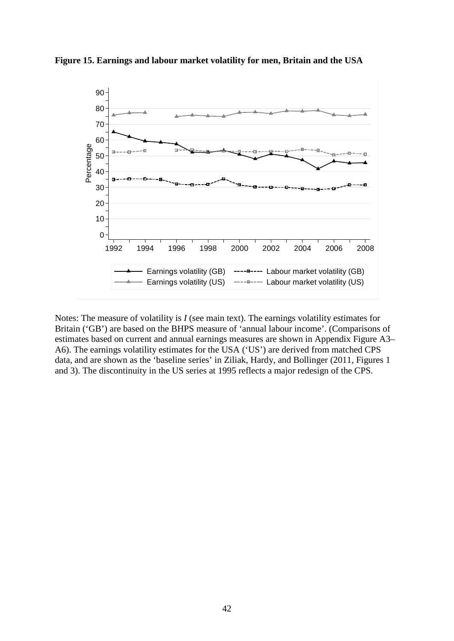

**Figure 15. Earnings and labour market volatility for men, Britain and the USA**

Notes: The measure of volatility is *I* (see main text). The earnings volatility estimates for Britain ('GB') are based on the BHPS measure of 'annual labour income'. (Comparisons of estimates based on current and annual earnings measures are shown in Appendix Figure A3– A6). The earnings volatility estimates for the USA ('US') are derived from matched CPS data, and are shown as the 'baseline series' in Ziliak, Hardy, and Bollinger (2011, Figures 1 and 3). The discontinuity in the US series at 1995 reflects a major redesign of the CPS.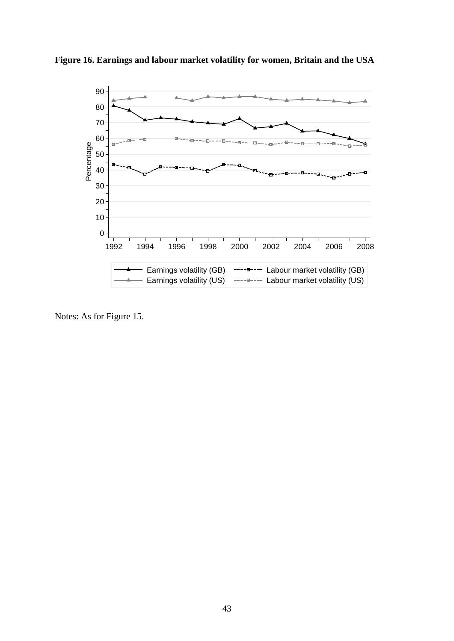

**Figure 16. Earnings and labour market volatility for women, Britain and the USA**

Notes: As for Figure 15.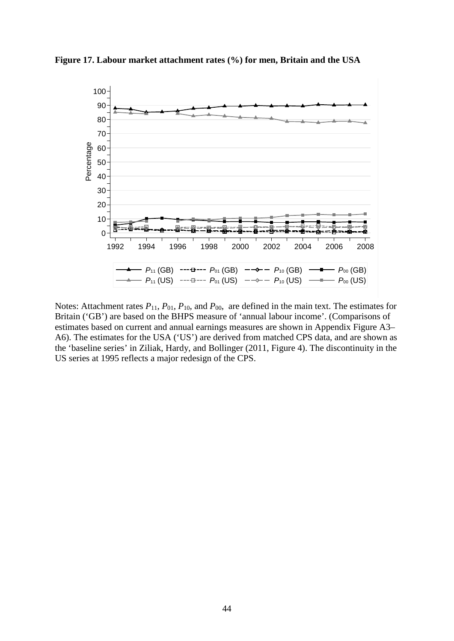

**Figure 17. Labour market attachment rates (%) for men, Britain and the USA**

Notes: Attachment rates  $P_{11}$ ,  $P_{01}$ ,  $P_{10}$ , and  $P_{00}$ , are defined in the main text. The estimates for Britain ('GB') are based on the BHPS measure of 'annual labour income'. (Comparisons of estimates based on current and annual earnings measures are shown in Appendix Figure A3– A6). The estimates for the USA ('US') are derived from matched CPS data, and are shown as the 'baseline series' in Ziliak, Hardy, and Bollinger (2011, Figure 4). The discontinuity in the US series at 1995 reflects a major redesign of the CPS.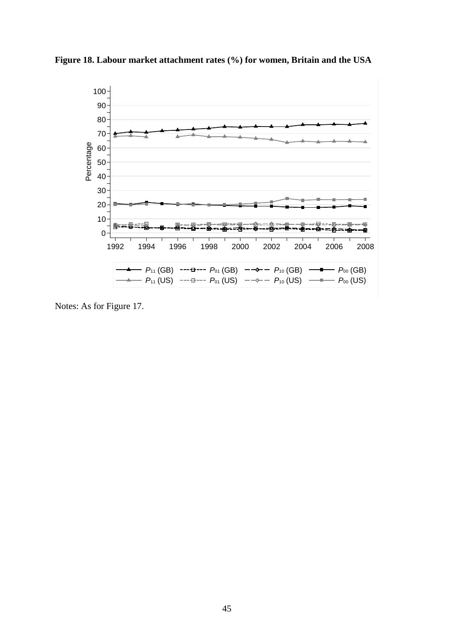

**Figure 18. Labour market attachment rates (%) for women, Britain and the USA**

Notes: As for Figure 17.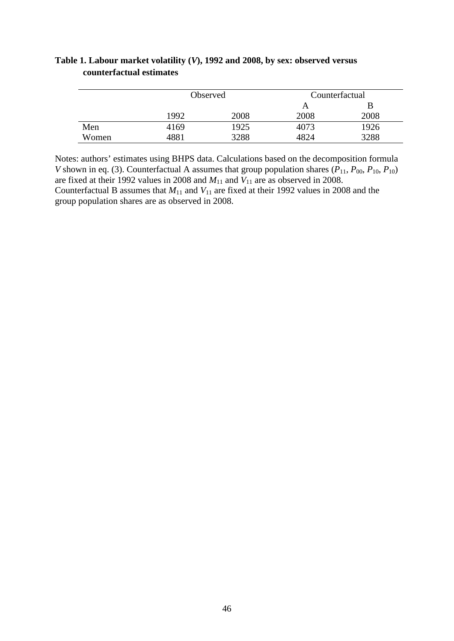|       |      | Observed | Counterfactual |      |  |
|-------|------|----------|----------------|------|--|
|       |      |          | A              |      |  |
|       | 1992 | 2008     | 2008           | 2008 |  |
| Men   | 4169 | 1925     | 4073           | 1926 |  |
| Women | 4881 | 3288     | 4824           | 3288 |  |

# **Table 1. Labour market volatility (***V***), 1992 and 2008, by sex: observed versus counterfactual estimates**

Notes: authors' estimates using BHPS data. Calculations based on the decomposition formula *V* shown in eq. (3). Counterfactual A assumes that group population shares ( $P_{11}$ ,  $P_{00}$ ,  $P_{10}$ ,  $P_{10}$ ) are fixed at their 1992 values in 2008 and  $M_{11}$  and  $V_{11}$  are as observed in 2008. Counterfactual B assumes that  $M_{11}$  and  $V_{11}$  are fixed at their 1992 values in 2008 and the group population shares are as observed in 2008.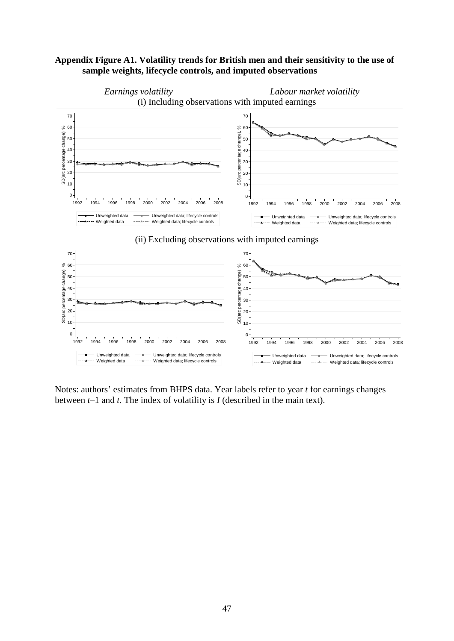## **Appendix Figure A1. Volatility trends for British men and their sensitivity to the use of sample weights, lifecycle controls, and imputed observations**



Notes: authors' estimates from BHPS data. Year labels refer to year *t* for earnings changes between *t*–1 and *t.* The index of volatility is *I* (described in the main text).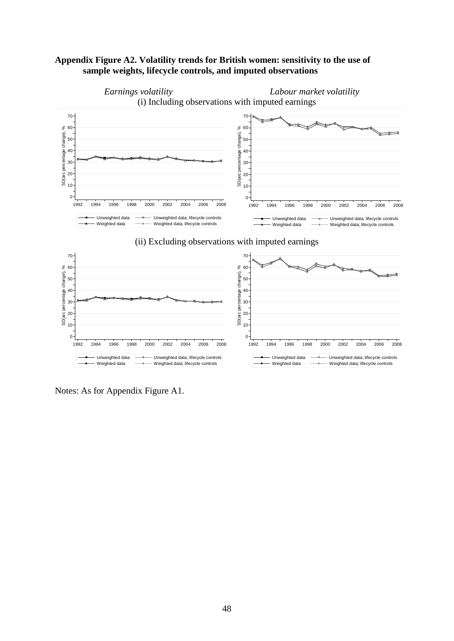## **Appendix Figure A2. Volatility trends for British women: sensitivity to the use of sample weights, lifecycle controls, and imputed observations**



Notes: As for Appendix Figure A1.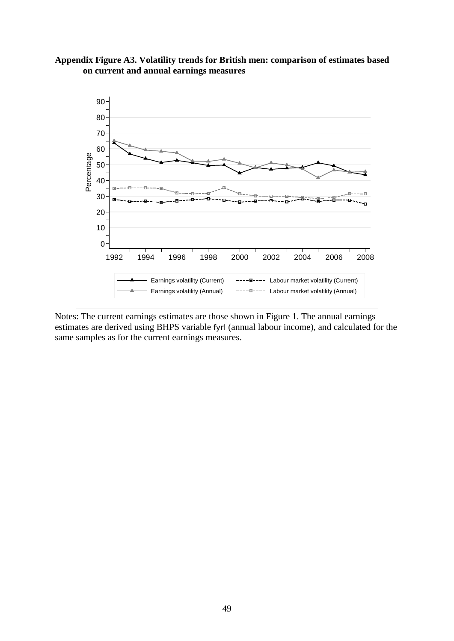# **Appendix Figure A3. Volatility trends for British men: comparison of estimates based on current and annual earnings measures**



Notes: The current earnings estimates are those shown in Figure 1. The annual earnings estimates are derived using BHPS variable fyrl (annual labour income), and calculated for the same samples as for the current earnings measures.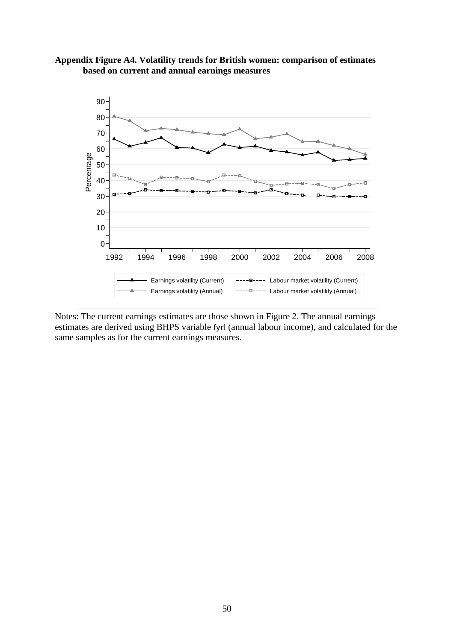## **Appendix Figure A4. Volatility trends for British women: comparison of estimates based on current and annual earnings measures**



Notes: The current earnings estimates are those shown in Figure 2. The annual earnings estimates are derived using BHPS variable fyrl (annual labour income), and calculated for the same samples as for the current earnings measures.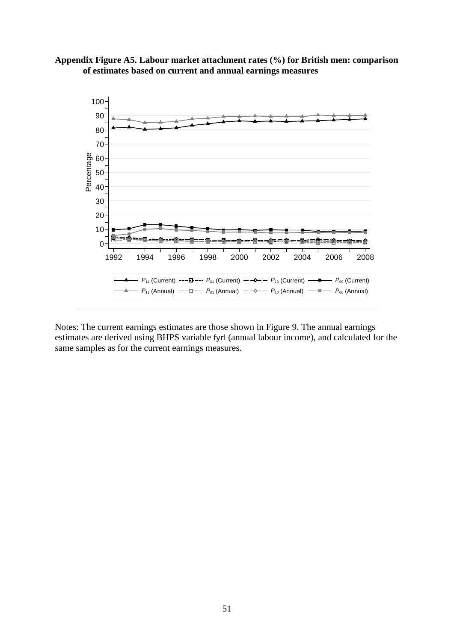



Notes: The current earnings estimates are those shown in Figure 9. The annual earnings estimates are derived using BHPS variable fyrl (annual labour income), and calculated for the same samples as for the current earnings measures.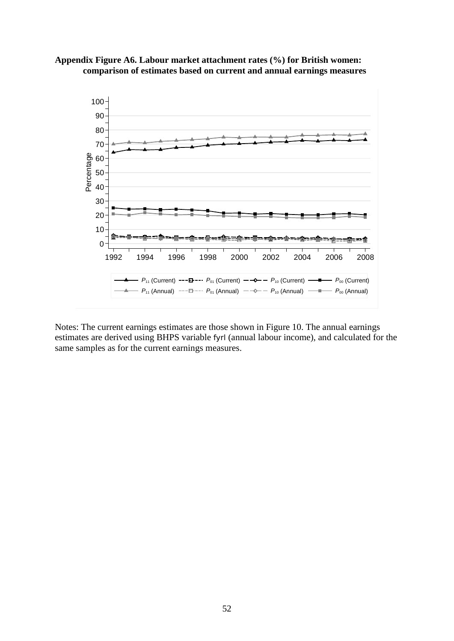



Notes: The current earnings estimates are those shown in Figure 10. The annual earnings estimates are derived using BHPS variable fyrl (annual labour income), and calculated for the same samples as for the current earnings measures.